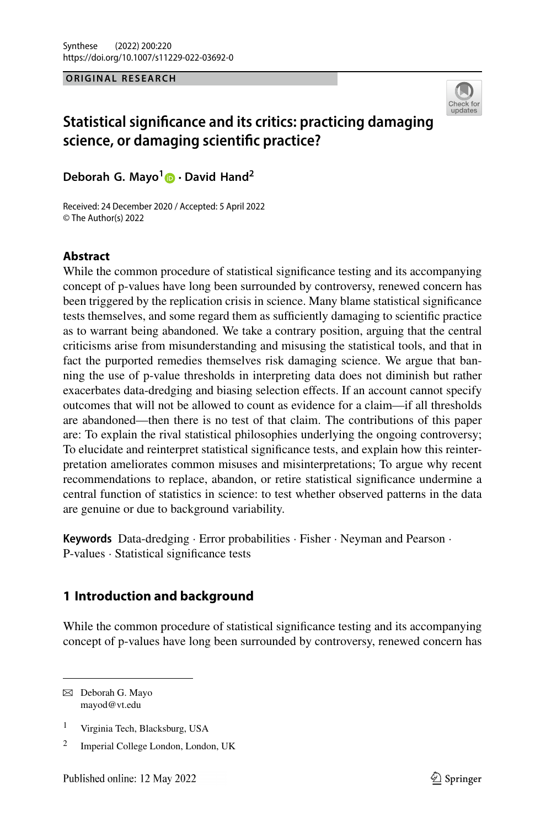#### **ORIGINAL RESEARCH**



# **Statistical significance and its critics: practicing damaging science, or damaging scientific practice?**

**Deborah G. Mayo[1](http://orcid.org/0000-0001-8252-9968) · David Hand2**

Received: 24 December 2020 / Accepted: 5 April 2022 © The Author(s) 2022

## **Abstract**

While the common procedure of statistical significance testing and its accompanying concept of p-values have long been surrounded by controversy, renewed concern has been triggered by the replication crisis in science. Many blame statistical significance tests themselves, and some regard them as sufficiently damaging to scientific practice as to warrant being abandoned. We take a contrary position, arguing that the central criticisms arise from misunderstanding and misusing the statistical tools, and that in fact the purported remedies themselves risk damaging science. We argue that banning the use of p-value thresholds in interpreting data does not diminish but rather exacerbates data-dredging and biasing selection effects. If an account cannot specify outcomes that will not be allowed to count as evidence for a claim—if all thresholds are abandoned—then there is no test of that claim. The contributions of this paper are: To explain the rival statistical philosophies underlying the ongoing controversy; To elucidate and reinterpret statistical significance tests, and explain how this reinterpretation ameliorates common misuses and misinterpretations; To argue why recent recommendations to replace, abandon, or retire statistical significance undermine a central function of statistics in science: to test whether observed patterns in the data are genuine or due to background variability.

**Keywords** Data-dredging · Error probabilities · Fisher · Neyman and Pearson · P-values · Statistical significance tests

## <span id="page-0-0"></span>**1 Introduction and background**

While the common procedure of statistical significance testing and its accompanying concept of p-values have long been surrounded by controversy, renewed concern has

 $\boxtimes$  Deborah G. Mayo mayod@vt.edu

<sup>1</sup> Virginia Tech, Blacksburg, USA

<sup>2</sup> Imperial College London, London, UK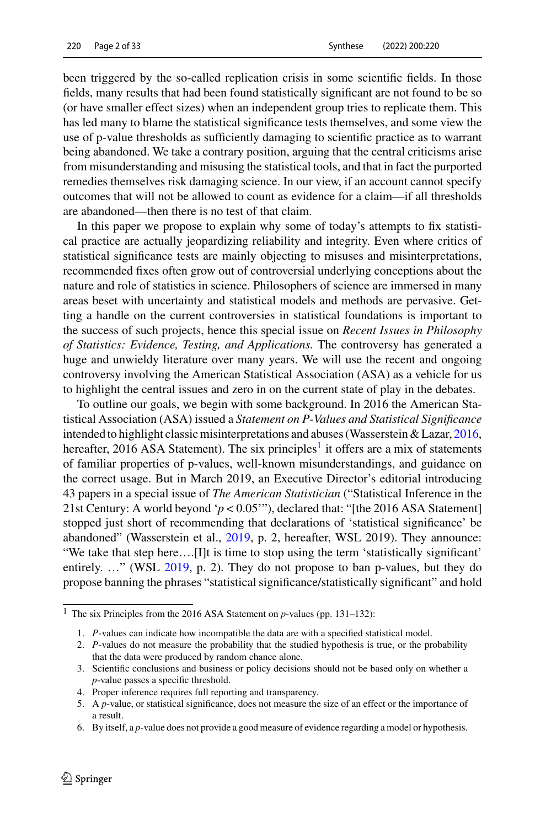been triggered by the so-called replication crisis in some scientific fields. In those fields, many results that had been found statistically significant are not found to be so (or have smaller effect sizes) when an independent group tries to replicate them. This has led many to blame the statistical significance tests themselves, and some view the use of p-value thresholds as sufficiently damaging to scientific practice as to warrant being abandoned. We take a contrary position, arguing that the central criticisms arise from misunderstanding and misusing the statistical tools, and that in fact the purported remedies themselves risk damaging science. In our view, if an account cannot specify outcomes that will not be allowed to count as evidence for a claim—if all thresholds are abandoned—then there is no test of that claim.

In this paper we propose to explain why some of today's attempts to fix statistical practice are actually jeopardizing reliability and integrity. Even where critics of statistical significance tests are mainly objecting to misuses and misinterpretations, recommended fixes often grow out of controversial underlying conceptions about the nature and role of statistics in science. Philosophers of science are immersed in many areas beset with uncertainty and statistical models and methods are pervasive. Getting a handle on the current controversies in statistical foundations is important to the success of such projects, hence this special issue on *Recent Issues in Philosophy of Statistics: Evidence, Testing, and Applications.* The controversy has generated a huge and unwieldy literature over many years. We will use the recent and ongoing controversy involving the American Statistical Association (ASA) as a vehicle for us to highlight the central issues and zero in on the current state of play in the debates.

To outline our goals, we begin with some background. In 2016 the American Statistical Association (ASA) issued a *Statement on P-Values and Statistical Significance* intended to highlight classic misinterpretations and abuses (Wasserstein & Lazar, [2016,](#page-32-0) hereafter, 2016 ASA Statement). The six principles<sup>1</sup> it offers are a mix of statements of familiar properties of p-values, well-known misunderstandings, and guidance on the correct usage. But in March 2019, an Executive Director's editorial introducing 43 papers in a special issue of *The American Statistician* ("Statistical Inference in the 21st Century: A world beyond '*p* < 0.05'"), declared that: "[the 2016 ASA Statement] stopped just short of recommending that declarations of 'statistical significance' be abandoned" (Wasserstein et al., [2019,](#page-32-1) p. 2, hereafter, WSL 2019). They announce: "We take that step here….[I]t is time to stop using the term 'statistically significant' entirely. …" (WSL [2019,](#page-32-1) p. 2). They do not propose to ban p-values, but they do propose banning the phrases "statistical significance/statistically significant" and hold

6. By itself, a *p*-value does not provide a good measure of evidence regarding a model or hypothesis.

<span id="page-1-0"></span><sup>1</sup> The six Principles from the 2016 ASA Statement on *p*-values (pp. 131–132):

<sup>1.</sup> *P*-values can indicate how incompatible the data are with a specified statistical model.

<sup>2.</sup> *P*-values do not measure the probability that the studied hypothesis is true, or the probability that the data were produced by random chance alone.

<sup>3.</sup> Scientific conclusions and business or policy decisions should not be based only on whether a *p*-value passes a specific threshold.

<sup>4.</sup> Proper inference requires full reporting and transparency.

<sup>5.</sup> A *p*-value, or statistical significance, does not measure the size of an effect or the importance of a result.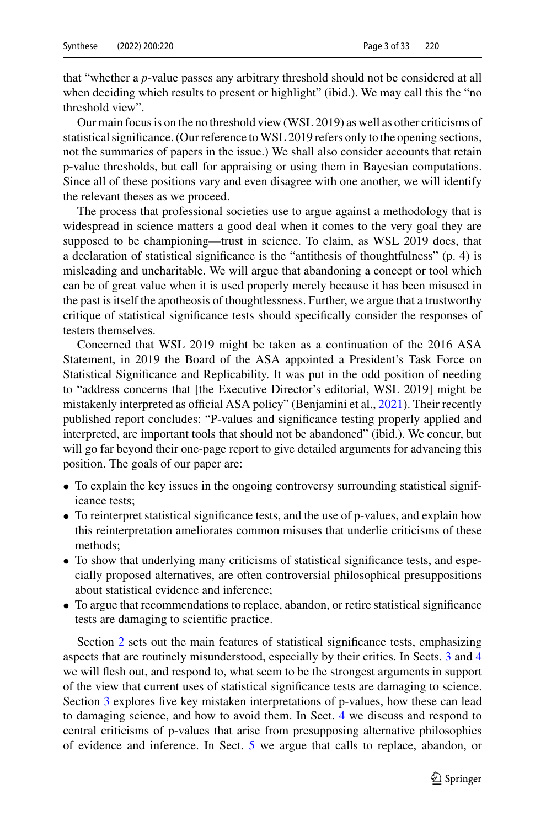that "whether a *p*-value passes any arbitrary threshold should not be considered at all when deciding which results to present or highlight" (ibid.). We may call this the "no threshold view".

Our main focus is on the no threshold view (WSL 2019) as well as other criticisms of statistical significance. (Our reference toWSL 2019 refers only to the opening sections, not the summaries of papers in the issue.) We shall also consider accounts that retain p-value thresholds, but call for appraising or using them in Bayesian computations. Since all of these positions vary and even disagree with one another, we will identify the relevant theses as we proceed.

The process that professional societies use to argue against a methodology that is widespread in science matters a good deal when it comes to the very goal they are supposed to be championing—trust in science. To claim, as WSL 2019 does, that a declaration of statistical significance is the "antithesis of thoughtfulness" (p. 4) is misleading and uncharitable. We will argue that abandoning a concept or tool which can be of great value when it is used properly merely because it has been misused in the past is itself the apotheosis of thoughtlessness. Further, we argue that a trustworthy critique of statistical significance tests should specifically consider the responses of testers themselves.

Concerned that WSL 2019 might be taken as a continuation of the 2016 ASA Statement, in 2019 the Board of the ASA appointed a President's Task Force on Statistical Significance and Replicability. It was put in the odd position of needing to "address concerns that [the Executive Director's editorial, WSL 2019] might be mistakenly interpreted as official ASA policy" (Benjamini et al., [2021\)](#page-28-0). Their recently published report concludes: "P-values and significance testing properly applied and interpreted, are important tools that should not be abandoned" (ibid.). We concur, but will go far beyond their one-page report to give detailed arguments for advancing this position. The goals of our paper are:

- To explain the key issues in the ongoing controversy surrounding statistical significance tests;
- To reinterpret statistical significance tests, and the use of p-values, and explain how this reinterpretation ameliorates common misuses that underlie criticisms of these methods;
- To show that underlying many criticisms of statistical significance tests, and especially proposed alternatives, are often controversial philosophical presuppositions about statistical evidence and inference;
- To argue that recommendations to replace, abandon, or retire statistical significance tests are damaging to scientific practice.

Section [2](#page-3-0) sets out the main features of statistical significance tests, emphasizing aspects that are routinely misunderstood, especially by their critics. In Sects. [3](#page-6-0) and [4](#page-12-0) we will flesh out, and respond to, what seem to be the strongest arguments in support of the view that current uses of statistical significance tests are damaging to science. Section [3](#page-6-0) explores five key mistaken interpretations of p-values, how these can lead to damaging science, and how to avoid them. In Sect. [4](#page-12-0) we discuss and respond to central criticisms of p-values that arise from presupposing alternative philosophies of evidence and inference. In Sect. [5](#page-17-0) we argue that calls to replace, abandon, or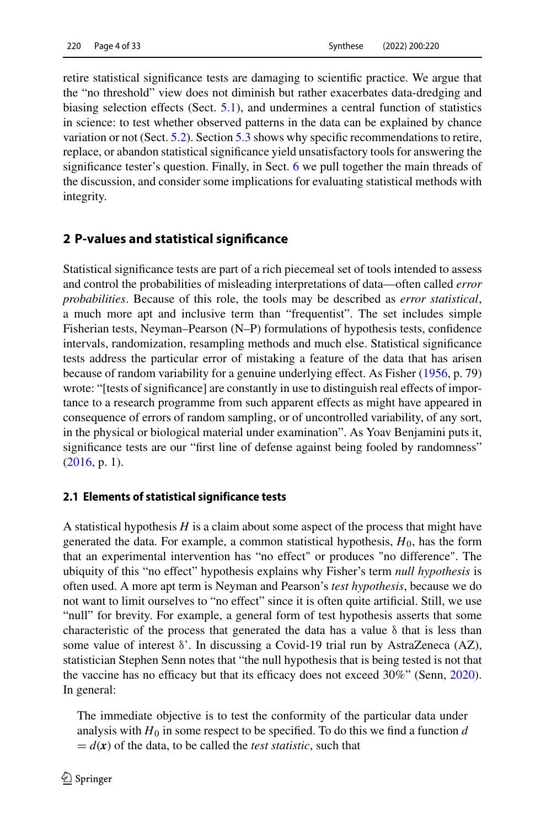retire statistical significance tests are damaging to scientific practice. We argue that the "no threshold" view does not diminish but rather exacerbates data-dredging and biasing selection effects (Sect. [5.1\)](#page-17-1), and undermines a central function of statistics in science: to test whether observed patterns in the data can be explained by chance variation or not (Sect. [5.2\)](#page-20-0). Section [5.3](#page-21-0) shows why specific recommendations to retire, replace, or abandon statistical significance yield unsatisfactory tools for answering the significance tester's question. Finally, in Sect. [6](#page-25-0) we pull together the main threads of the discussion, and consider some implications for evaluating statistical methods with integrity.

## <span id="page-3-0"></span>**2 P-values and statistical significance**

Statistical significance tests are part of a rich piecemeal set of tools intended to assess and control the probabilities of misleading interpretations of data—often called *error probabilities*. Because of this role, the tools may be described as *error statistical*, a much more apt and inclusive term than "frequentist". The set includes simple Fisherian tests, Neyman–Pearson (N–P) formulations of hypothesis tests, confidence intervals, randomization, resampling methods and much else. Statistical significance tests address the particular error of mistaking a feature of the data that has arisen because of random variability for a genuine underlying effect. As Fisher [\(1956,](#page-29-0) p. 79) wrote: "[tests of significance] are constantly in use to distinguish real effects of importance to a research programme from such apparent effects as might have appeared in consequence of errors of random sampling, or of uncontrolled variability, of any sort, in the physical or biological material under examination". As Yoav Benjamini puts it, significance tests are our "first line of defense against being fooled by randomness" [\(2016,](#page-28-1) p. 1).

### **2.1 Elements of statistical significance tests**

A statistical hypothesis *H* is a claim about some aspect of the process that might have generated the data. For example, a common statistical hypothesis, *H*0, has the form that an experimental intervention has "no effect" or produces "no difference". The ubiquity of this "no effect" hypothesis explains why Fisher's term *null hypothesis* is often used. A more apt term is Neyman and Pearson's *test hypothesis*, because we do not want to limit ourselves to "no effect" since it is often quite artificial. Still, we use "null" for brevity. For example, a general form of test hypothesis asserts that some characteristic of the process that generated the data has a value  $\delta$  that is less than some value of interest δ'. In discussing a Covid-19 trial run by AstraZeneca (AZ), statistician Stephen Senn notes that "the null hypothesis that is being tested is not that the vaccine has no efficacy but that its efficacy does not exceed 30%" (Senn, [2020\)](#page-32-2). In general:

The immediate objective is to test the conformity of the particular data under analysis with  $H_0$  in some respect to be specified. To do this we find a function  $d$  $= d(x)$  of the data, to be called the *test statistic*, such that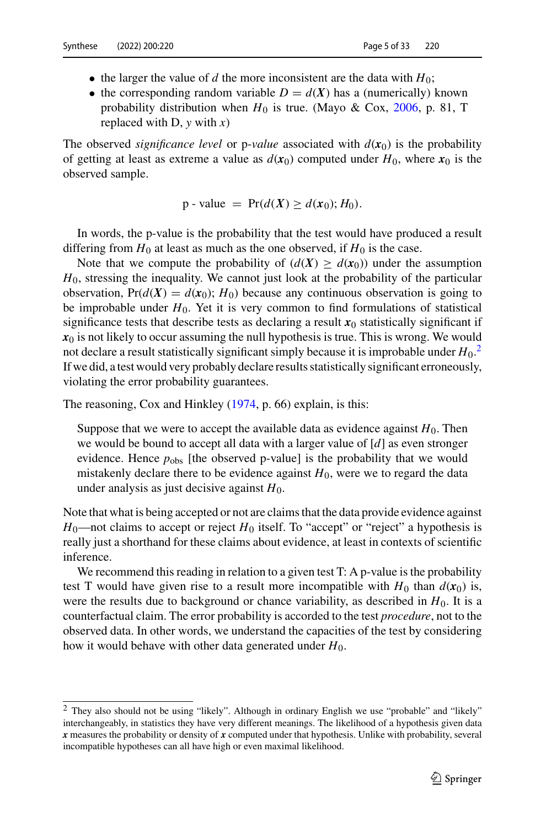- the larger the value of *d* the more inconsistent are the data with  $H_0$ ;
- the corresponding random variable  $D = d(X)$  has a (numerically) known probability distribution when  $H_0$  is true. (Mayo & Cox, [2006,](#page-31-0) p. 81, T replaced with D, *y* with *x*)

The observed *significance level* or p-*value* associated with  $d(\mathbf{x}_0)$  is the probability of getting at least as extreme a value as  $d(x_0)$  computed under  $H_0$ , where  $x_0$  is the observed sample.

p - value = 
$$
Pr(d(X) \ge d(x_0); H_0)
$$
.

In words, the p-value is the probability that the test would have produced a result differing from  $H_0$  at least as much as the one observed, if  $H_0$  is the case.

Note that we compute the probability of  $(d(X) \geq d(x_0))$  under the assumption *H*<sub>0</sub>, stressing the inequality. We cannot just look at the probability of the particular observation,  $Pr(d(X) = d(x_0); H_0)$  because any continuous observation is going to be improbable under  $H_0$ . Yet it is very common to find formulations of statistical significance tests that describe tests as declaring a result  $x<sub>0</sub>$  statistically significant if  $x_0$  is not likely to occur assuming the null hypothesis is true. This is wrong. We would not declare a result statistically significant simply because it is improbable under  $H_0$ .<sup>[2](#page-4-0)</sup> If we did, a test would very probably declare results statistically significant erroneously, violating the error probability guarantees.

The reasoning, Cox and Hinkley [\(1974,](#page-29-1) p. 66) explain, is this:

Suppose that we were to accept the available data as evidence against  $H_0$ . Then we would be bound to accept all data with a larger value of [*d*] as even stronger evidence. Hence  $p_{obs}$  [the observed p-value] is the probability that we would mistakenly declare there to be evidence against  $H_0$ , were we to regard the data under analysis as just decisive against *H*0.

Note that what is being accepted or not are claims that the data provide evidence against  $H_0$ —not claims to accept or reject  $H_0$  itself. To "accept" or "reject" a hypothesis is really just a shorthand for these claims about evidence, at least in contexts of scientific inference.

We recommend this reading in relation to a given test T: A p-value is the probability test T would have given rise to a result more incompatible with  $H_0$  than  $d(\mathbf{x}_0)$  is, were the results due to background or chance variability, as described in  $H_0$ . It is a counterfactual claim. The error probability is accorded to the test *procedure*, not to the observed data. In other words, we understand the capacities of the test by considering how it would behave with other data generated under *H*0.

<span id="page-4-0"></span><sup>2</sup> They also should not be using "likely". Although in ordinary English we use "probable" and "likely" interchangeably, in statistics they have very different meanings. The likelihood of a hypothesis given data *x* measures the probability or density of *x* computed under that hypothesis. Unlike with probability, several incompatible hypotheses can all have high or even maximal likelihood.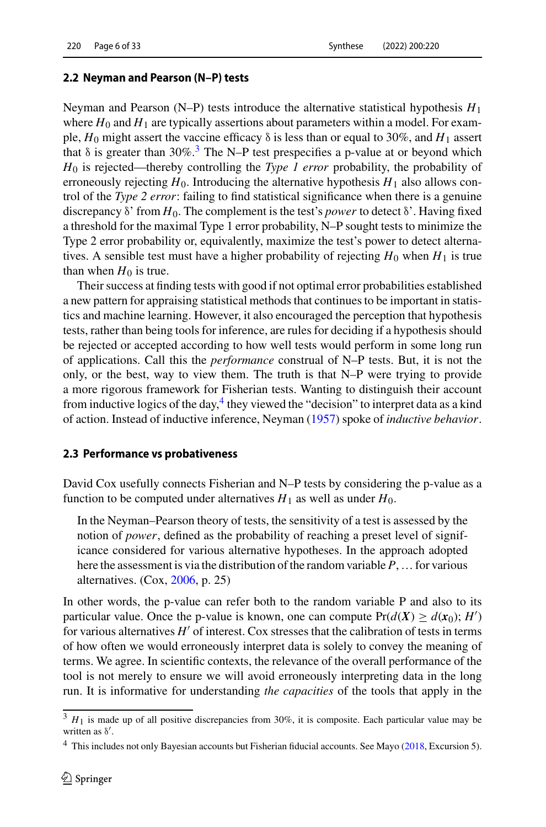#### **2.2 Neyman and Pearson (N–P) tests**

Neyman and Pearson (N–P) tests introduce the alternative statistical hypothesis *H*<sup>1</sup> where  $H_0$  and  $H_1$  are typically assertions about parameters within a model. For example,  $H_0$  might assert the vaccine efficacy  $\delta$  is less than or equal to 30%, and  $H_1$  assert that  $\delta$  is greater than [3](#page-5-0)0%.<sup>3</sup> The N–P test prespecifies a p-value at or beyond which *H*<sup>0</sup> is rejected—thereby controlling the *Type 1 error* probability, the probability of erroneously rejecting  $H_0$ . Introducing the alternative hypothesis  $H_1$  also allows control of the *Type 2 error*: failing to find statistical significance when there is a genuine discrepancy δ' from *H*0. The complement is the test's *power* to detect δ'. Having fixed a threshold for the maximal Type 1 error probability, N–P sought tests to minimize the Type 2 error probability or, equivalently, maximize the test's power to detect alternatives. A sensible test must have a higher probability of rejecting  $H_0$  when  $H_1$  is true than when  $H_0$  is true.

Their success at finding tests with good if not optimal error probabilities established a new pattern for appraising statistical methods that continues to be important in statistics and machine learning. However, it also encouraged the perception that hypothesis tests, rather than being tools for inference, are rules for deciding if a hypothesis should be rejected or accepted according to how well tests would perform in some long run of applications. Call this the *performance* construal of N–P tests. But, it is not the only, or the best, way to view them. The truth is that N–P were trying to provide a more rigorous framework for Fisherian tests. Wanting to distinguish their account from inductive logics of the day,  $4$  they viewed the "decision" to interpret data as a kind of action. Instead of inductive inference, Neyman [\(1957\)](#page-31-1) spoke of *inductive behavior*.

#### **2.3 Performance vs probativeness**

David Cox usefully connects Fisherian and N–P tests by considering the p-value as a function to be computed under alternatives  $H_1$  as well as under  $H_0$ .

In the Neyman–Pearson theory of tests, the sensitivity of a test is assessed by the notion of *power*, defined as the probability of reaching a preset level of significance considered for various alternative hypotheses. In the approach adopted here the assessment is via the distribution of the random variable *P*,… for various alternatives. (Cox, [2006,](#page-29-2) p. 25)

In other words, the p-value can refer both to the random variable P and also to its particular value. Once the p-value is known, one can compute  $Pr(d(X) \ge d(x_0); H')$ for various alternatives  $H'$  of interest. Cox stresses that the calibration of tests in terms of how often we would erroneously interpret data is solely to convey the meaning of terms. We agree. In scientific contexts, the relevance of the overall performance of the tool is not merely to ensure we will avoid erroneously interpreting data in the long run. It is informative for understanding *the capacities* of the tools that apply in the

<span id="page-5-1"></span><span id="page-5-0"></span> $3 H_1$  is made up of all positive discrepancies from 30%, it is composite. Each particular value may be written as  $\delta'$ .

<sup>4</sup> This includes not only Bayesian accounts but Fisherian fiducial accounts. See Mayo [\(2018,](#page-31-2) Excursion 5).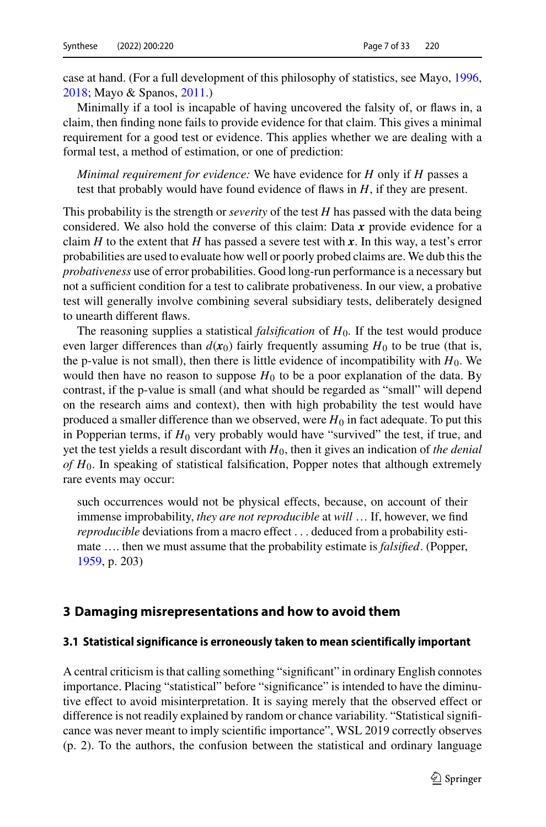case at hand. (For a full development of this philosophy of statistics, see Mayo, [1996,](#page-31-3) [2018;](#page-31-2) Mayo & Spanos, [2011.](#page-31-4))

Minimally if a tool is incapable of having uncovered the falsity of, or flaws in, a claim, then finding none fails to provide evidence for that claim. This gives a minimal requirement for a good test or evidence. This applies whether we are dealing with a formal test, a method of estimation, or one of prediction:

*Minimal requirement for evidence:* We have evidence for *H* only if *H* passes a test that probably would have found evidence of flaws in *H*, if they are present.

This probability is the strength or *severity* of the test *H* has passed with the data being considered. We also hold the converse of this claim: Data *x* provide evidence for a claim *H* to the extent that *H* has passed a severe test with x. In this way, a test's error probabilities are used to evaluate how well or poorly probed claims are. We dub this the *probativeness* use of error probabilities. Good long-run performance is a necessary but not a sufficient condition for a test to calibrate probativeness. In our view, a probative test will generally involve combining several subsidiary tests, deliberately designed to unearth different flaws.

The reasoning supplies a statistical *falsification* of *H*0*.* If the test would produce even larger differences than  $d(x_0)$  fairly frequently assuming  $H_0$  to be true (that is, the p-value is not small), then there is little evidence of incompatibility with  $H_0$ . We would then have no reason to suppose  $H_0$  to be a poor explanation of the data. By contrast, if the p-value is small (and what should be regarded as "small" will depend on the research aims and context), then with high probability the test would have produced a smaller difference than we observed, were  $H_0$  in fact adequate. To put this in Popperian terms, if  $H_0$  very probably would have "survived" the test, if true, and yet the test yields a result discordant with *H*0, then it gives an indication of *the denial of H*0. In speaking of statistical falsification, Popper notes that although extremely rare events may occur:

such occurrences would not be physical effects, because, on account of their immense improbability, *they are not reproducible* at *will* … If, however, we find *reproducible* deviations from a macro effect . . . deduced from a probability estimate …. then we must assume that the probability estimate is *falsified*. (Popper, [1959,](#page-31-5) p. 203)

### <span id="page-6-0"></span>**3 Damaging misrepresentations and how to avoid them**

#### **3.1 Statistical significance is erroneously taken to mean scientifically important**

A central criticism is that calling something "significant" in ordinary English connotes importance. Placing "statistical" before "significance" is intended to have the diminutive effect to avoid misinterpretation. It is saying merely that the observed effect or difference is not readily explained by random or chance variability. "Statistical significance was never meant to imply scientific importance", WSL 2019 correctly observes (p. 2). To the authors, the confusion between the statistical and ordinary language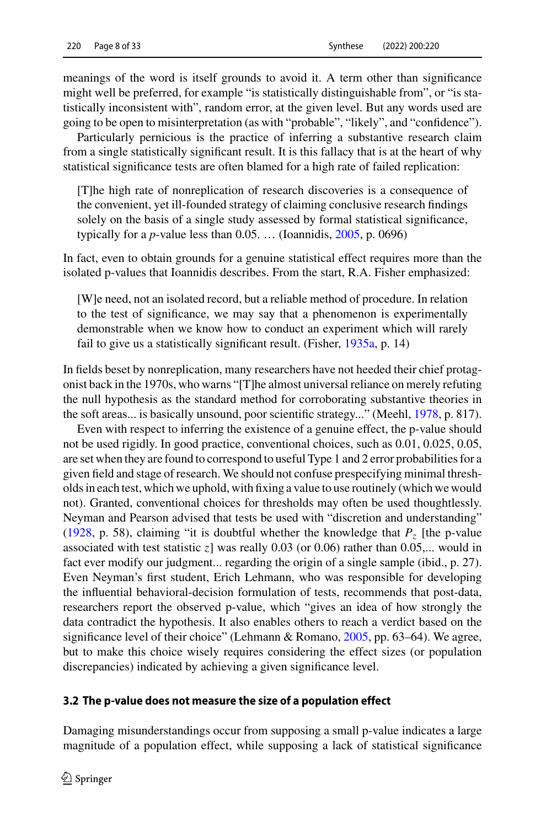meanings of the word is itself grounds to avoid it. A term other than significance might well be preferred, for example "is statistically distinguishable from", or "is statistically inconsistent with", random error, at the given level. But any words used are going to be open to misinterpretation (as with "probable", "likely", and "confidence").

Particularly pernicious is the practice of inferring a substantive research claim from a single statistically significant result. It is this fallacy that is at the heart of why statistical significance tests are often blamed for a high rate of failed replication:

[T]he high rate of nonreplication of research discoveries is a consequence of the convenient, yet ill-founded strategy of claiming conclusive research findings solely on the basis of a single study assessed by formal statistical significance, typically for a *p*-value less than  $0.05$ . ... (Ioannidis,  $2005$ , p. 0696)

In fact, even to obtain grounds for a genuine statistical effect requires more than the isolated p-values that Ioannidis describes. From the start, R.A. Fisher emphasized:

[W]e need, not an isolated record, but a reliable method of procedure. In relation to the test of significance, we may say that a phenomenon is experimentally demonstrable when we know how to conduct an experiment which will rarely fail to give us a statistically significant result. (Fisher, [1935a,](#page-29-3) p. 14)

In fields beset by nonreplication, many researchers have not heeded their chief protagonist back in the 1970s, who warns "[T]he almost universal reliance on merely refuting the null hypothesis as the standard method for corroborating substantive theories in the soft areas... is basically unsound, poor scientific strategy..." (Meehl, [1978,](#page-31-6) p. 817).

Even with respect to inferring the existence of a genuine effect, the p-value should not be used rigidly. In good practice, conventional choices, such as 0.01, 0.025, 0.05, are set when they are found to correspond to useful Type 1 and 2 error probabilities for a given field and stage of research. We should not confuse prespecifying minimal thresholds in each test, which we uphold, with fixing a value to use routinely (which we would not). Granted, conventional choices for thresholds may often be used thoughtlessly. Neyman and Pearson advised that tests be used with "discretion and understanding" [\(1928,](#page-31-7) p. 58), claiming "it is doubtful whether the knowledge that  $P<sub>z</sub>$  [the p-value associated with test statistic *z*] was really 0.03 (or 0.06) rather than 0.05,... would in fact ever modify our judgment... regarding the origin of a single sample (ibid., p. 27). Even Neyman's first student, Erich Lehmann, who was responsible for developing the influential behavioral-decision formulation of tests, recommends that post-data, researchers report the observed p-value, which "gives an idea of how strongly the data contradict the hypothesis. It also enables others to reach a verdict based on the significance level of their choice" (Lehmann & Romano, [2005,](#page-30-1) pp. 63–64). We agree, but to make this choice wisely requires considering the effect sizes (or population discrepancies) indicated by achieving a given significance level.

#### **3.2 The p-value does not measure the size of a population effect**

Damaging misunderstandings occur from supposing a small p-value indicates a large magnitude of a population effect, while supposing a lack of statistical significance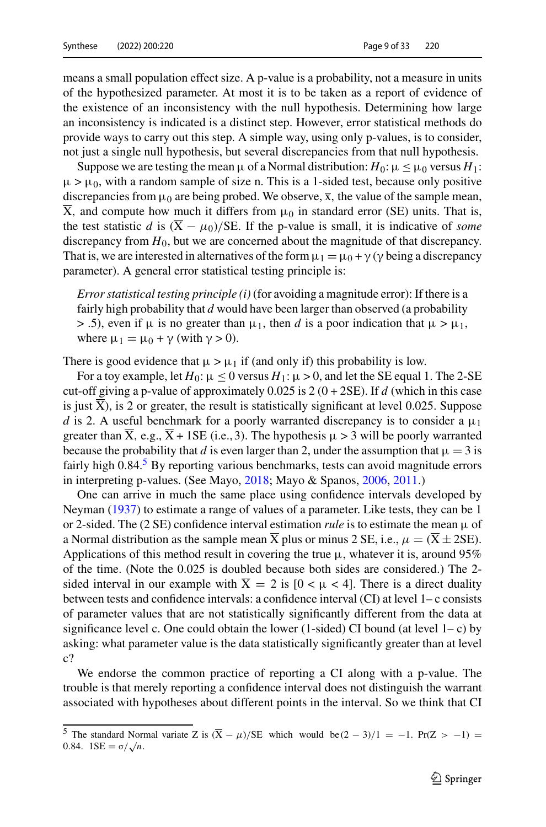means a small population effect size. A p-value is a probability, not a measure in units of the hypothesized parameter. At most it is to be taken as a report of evidence of the existence of an inconsistency with the null hypothesis. Determining how large an inconsistency is indicated is a distinct step. However, error statistical methods do provide ways to carry out this step. A simple way, using only p-values, is to consider, not just a single null hypothesis, but several discrepancies from that null hypothesis.

Suppose we are testing the mean  $\mu$  of a Normal distribution:  $H_0: \mu \leq \mu_0$  versus  $H_1$ :  $\mu > \mu_0$ , with a random sample of size n. This is a 1-sided test, because only positive discrepancies from  $\mu_0$  are being probed. We observe,  $\bar{x}$ , the value of the sample mean,  $\overline{X}$ , and compute how much it differs from  $\mu_0$  in standard error (SE) units. That is, the test statistic *d* is  $(\overline{X} - \mu_0)/SE$ . If the p-value is small, it is indicative of *some* discrepancy from  $H_0$ , but we are concerned about the magnitude of that discrepancy. That is, we are interested in alternatives of the form  $\mu_1 = \mu_0 + \gamma$  ( $\gamma$  being a discrepancy parameter). A general error statistical testing principle is:

*Error statistical testing principle (i)* (for avoiding a magnitude error): If there is a fairly high probability that *d* would have been larger than observed (a probability  $>$  .5), even if  $\mu$  is no greater than  $\mu_1$ , then *d* is a poor indication that  $\mu > \mu_1$ , where  $\mu_1 = \mu_0 + \gamma$  (with  $\gamma > 0$ ).

There is good evidence that  $\mu > \mu_1$  if (and only if) this probability is low.

For a toy example, let  $H_0: \mu \leq 0$  versus  $H_1: \mu > 0$ , and let the SE equal 1. The 2-SE cut-off giving a p-value of approximately  $0.025$  is  $2(0 + 2SE)$ . If *d* (which in this case is just  $\overline{X}$ ), is 2 or greater, the result is statistically significant at level 0.025. Suppose *d* is 2. A useful benchmark for a poorly warranted discrepancy is to consider a  $\mu_1$ greater than  $\overline{X}$ , e.g.,  $\overline{X}$  + 1SE (i.e., 3). The hypothesis  $\mu > 3$  will be poorly warranted because the probability that *d* is even larger than 2, under the assumption that  $\mu = 3$  is fairly high 0.84.<sup>[5](#page-8-0)</sup> By reporting various benchmarks, tests can avoid magnitude errors in interpreting p-values. (See Mayo, [2018;](#page-31-2) Mayo & Spanos, [2006,](#page-31-8) [2011.](#page-31-4))

One can arrive in much the same place using confidence intervals developed by Neyman [\(1937\)](#page-31-9) to estimate a range of values of a parameter. Like tests, they can be 1 or 2-sided. The (2 SE) confidence interval estimation *rule* is to estimate the mean  $\mu$  of a Normal distribution as the sample mean X plus or minus 2 SE, i.e.,  $\mu = (X \pm 2SE)$ . Applications of this method result in covering the true  $\mu$ , whatever it is, around 95% of the time. (Note the 0.025 is doubled because both sides are considered.) The 2 sided interval in our example with  $X = 2$  is  $[0 < \mu < 4]$ . There is a direct duality between tests and confidence intervals: a confidence interval (CI) at level 1– c consists of parameter values that are not statistically significantly different from the data at significance level c. One could obtain the lower (1-sided) CI bound (at level  $1 - c$ ) by asking: what parameter value is the data statistically significantly greater than at level c?

We endorse the common practice of reporting a CI along with a p-value. The trouble is that merely reporting a confidence interval does not distinguish the warrant associated with hypotheses about different points in the interval. So we think that CI

<span id="page-8-0"></span><sup>&</sup>lt;sup>5</sup> The standard Normal variate Z is  $(\bar{X} - \mu)/SE$  which would be  $(2 - 3)/1 = -1$ *.* Pr(Z > −1) =  $0.84.$  1SE =  $\sigma/\sqrt{n}$ .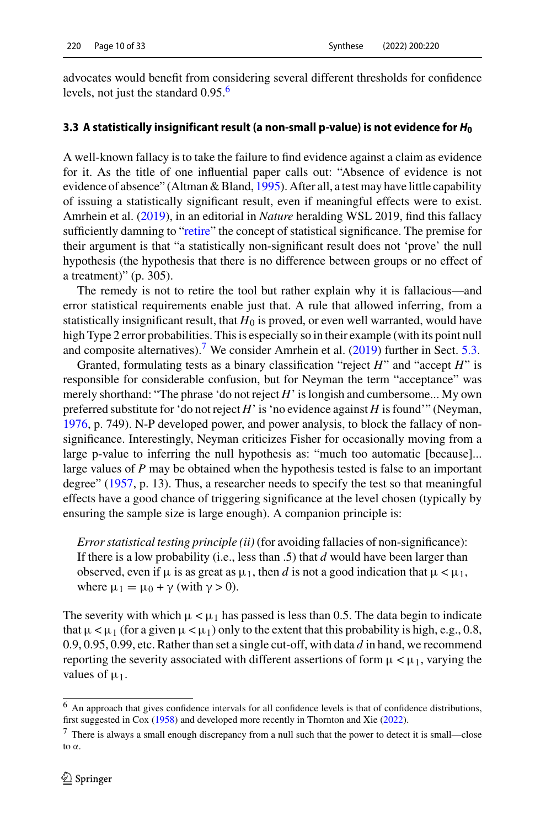advocates would benefit from considering several different thresholds for confidence levels, not just the standard  $0.95<sup>6</sup>$  $0.95<sup>6</sup>$  $0.95<sup>6</sup>$ 

## **3.3 A statistically insignificant result (a non-small p-value) is not evidence for** *H***<sup>0</sup>**

A well-known fallacy is to take the failure to find evidence against a claim as evidence for it. As the title of one influential paper calls out: "Absence of evidence is not evidence of absence" (Altman & Bland, [1995\)](#page-28-2). After all, a test may have little capability of issuing a statistically significant result, even if meaningful effects were to exist. Amrhein et al. [\(2019\)](#page-28-3), in an editorial in *Nature* heralding WSL 2019, find this fallacy sufficiently damning to ["retire"](#page-23-0) the concept of statistical significance. The premise for their argument is that "a statistically non-significant result does not 'prove' the null hypothesis (the hypothesis that there is no difference between groups or no effect of a treatment)" (p. 305).

The remedy is not to retire the tool but rather explain why it is fallacious—and error statistical requirements enable just that. A rule that allowed inferring, from a statistically insignificant result, that  $H_0$  is proved, or even well warranted, would have high Type 2 error probabilities. This is especially so in their example (with its point null and composite alternatives).<sup>7</sup> We consider Amrhein et al.  $(2019)$  further in Sect. [5.3.](#page-21-0)

Granted, formulating tests as a binary classification "reject *H*" and "accept *H*" is responsible for considerable confusion, but for Neyman the term "acceptance" was merely shorthand: "The phrase 'do not reject *H*' is longish and cumbersome... My own preferred substitute for 'do not reject *H*' is 'no evidence against *H* is found'" (Neyman, [1976,](#page-31-10) p. 749). N-P developed power, and power analysis, to block the fallacy of nonsignificance. Interestingly, Neyman criticizes Fisher for occasionally moving from a large p-value to inferring the null hypothesis as: "much too automatic [because]... large values of *P* may be obtained when the hypothesis tested is false to an important degree" [\(1957,](#page-31-1) p. 13). Thus, a researcher needs to specify the test so that meaningful effects have a good chance of triggering significance at the level chosen (typically by ensuring the sample size is large enough). A companion principle is:

*Error statistical testing principle (ii)* (for avoiding fallacies of non-significance): If there is a low probability (i.e., less than .5) that *d* would have been larger than observed, even if  $\mu$  is as great as  $\mu_1$ , then *d* is not a good indication that  $\mu < \mu_1$ , where  $\mu_1 = \mu_0 + \gamma$  (with  $\gamma > 0$ ).

The severity with which  $\mu < \mu_1$  has passed is less than 0.5. The data begin to indicate that  $\mu < \mu_1$  (for a given  $\mu < \mu_1$ ) only to the extent that this probability is high, e.g., 0.8, 0.9, 0.95, 0.99, etc. Rather than set a single cut-off, with data *d* in hand, we recommend reporting the severity associated with different assertions of form  $\mu < \mu_1$ , varying the values of  $\mu_1$ .

<span id="page-9-1"></span><span id="page-9-0"></span><sup>6</sup> An approach that gives confidence intervals for all confidence levels is that of confidence distributions, first suggested in Cox [\(1958\)](#page-29-4) and developed more recently in Thornton and Xie [\(2022\)](#page-32-3).

 $7$  There is always a small enough discrepancy from a null such that the power to detect it is small—close to α.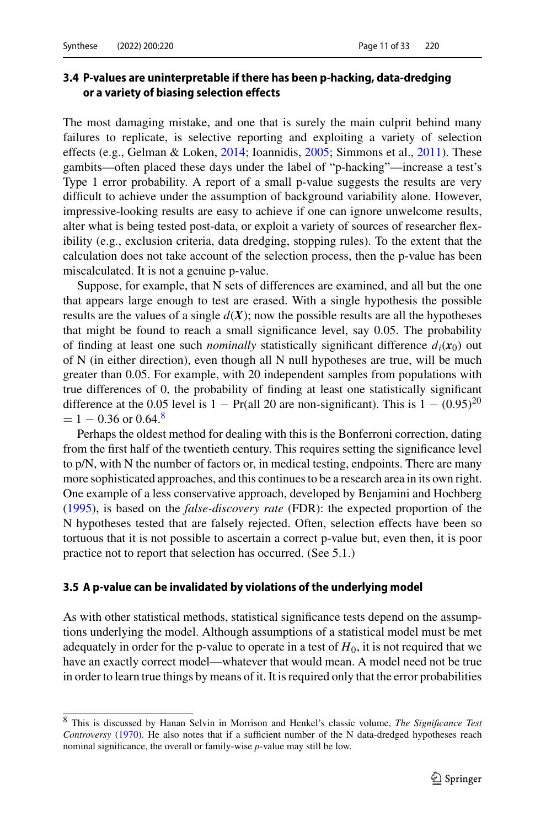## **3.4 P-values are uninterpretable if there has been p-hacking, data-dredging or a variety of biasing selection effects**

The most damaging mistake, and one that is surely the main culprit behind many failures to replicate, is selective reporting and exploiting a variety of selection effects (e.g., Gelman & Loken, [2014;](#page-29-5) Ioannidis, [2005;](#page-30-0) Simmons et al., [2011\)](#page-32-4). These gambits—often placed these days under the label of "p-hacking"—increase a test's Type 1 error probability. A report of a small p-value suggests the results are very difficult to achieve under the assumption of background variability alone. However, impressive-looking results are easy to achieve if one can ignore unwelcome results, alter what is being tested post-data, or exploit a variety of sources of researcher flexibility (e.g., exclusion criteria, data dredging, stopping rules). To the extent that the calculation does not take account of the selection process, then the p-value has been miscalculated. It is not a genuine p-value.

Suppose, for example, that N sets of differences are examined, and all but the one that appears large enough to test are erased. With a single hypothesis the possible results are the values of a single  $d(X)$ ; now the possible results are all the hypotheses that might be found to reach a small significance level, say 0.05. The probability of finding at least one such *nominally* statistically significant difference  $d_i(x_0)$  out of N (in either direction), even though all N null hypotheses are true, will be much greater than 0.05. For example, with 20 independent samples from populations with true differences of 0, the probability of finding at least one statistically significant difference at the 0.05 level is 1 − Pr(all 20 are non-significant). This is  $1 - (0.95)^{20}$  $= 1 - 0.36$  or 0.64.<sup>[8](#page-10-0)</sup>

Perhaps the oldest method for dealing with this is the Bonferroni correction, dating from the first half of the twentieth century. This requires setting the significance level to p/N, with N the number of factors or, in medical testing, endpoints. There are many more sophisticated approaches, and this continues to be a research area in its own right. One example of a less conservative approach, developed by Benjamini and Hochberg [\(1995\)](#page-28-4), is based on the *false-discovery rate* (FDR): the expected proportion of the N hypotheses tested that are falsely rejected. Often, selection effects have been so tortuous that it is not possible to ascertain a correct p-value but, even then, it is poor practice not to report that selection has occurred. (See 5.1.)

#### **3.5 A p-value can be invalidated by violations of the underlying model**

As with other statistical methods, statistical significance tests depend on the assumptions underlying the model. Although assumptions of a statistical model must be met adequately in order for the p-value to operate in a test of  $H_0$ , it is not required that we have an exactly correct model—whatever that would mean. A model need not be true in order to learn true things by means of it. It is required only that the error probabilities

<span id="page-10-0"></span><sup>8</sup> This is discussed by Hanan Selvin in Morrison and Henkel's classic volume, *The Significance Test Controversy* [\(1970\)](#page-31-11). He also notes that if a sufficient number of the N data-dredged hypotheses reach nominal significance, the overall or family-wise *p*-value may still be low.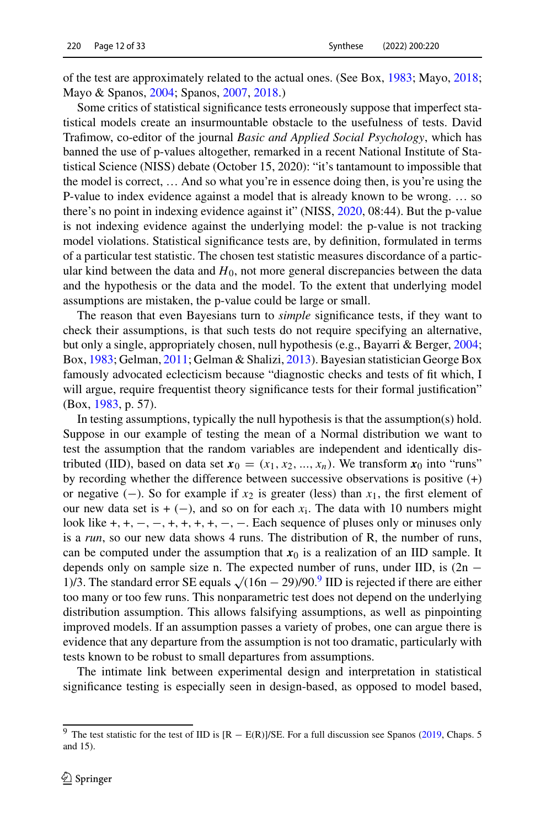of the test are approximately related to the actual ones. (See Box, [1983;](#page-29-6) Mayo, [2018;](#page-31-2) Mayo & Spanos, [2004;](#page-31-12) Spanos, [2007,](#page-32-5) [2018.](#page-32-6))

Some critics of statistical significance tests erroneously suppose that imperfect statistical models create an insurmountable obstacle to the usefulness of tests. David Trafimow, co-editor of the journal *Basic and Applied Social Psychology*, which has banned the use of p-values altogether, remarked in a recent National Institute of Statistical Science (NISS) debate (October 15, 2020): "it's tantamount to impossible that the model is correct, … And so what you're in essence doing then, is you're using the P-value to index evidence against a model that is already known to be wrong. … so there's no point in indexing evidence against it" (NISS, [2020,](#page-31-13) 08:44). But the p-value is not indexing evidence against the underlying model: the p-value is not tracking model violations. Statistical significance tests are, by definition, formulated in terms of a particular test statistic. The chosen test statistic measures discordance of a particular kind between the data and  $H_0$ , not more general discrepancies between the data and the hypothesis or the data and the model. To the extent that underlying model assumptions are mistaken, the p-value could be large or small.

The reason that even Bayesians turn to *simple* significance tests, if they want to check their assumptions, is that such tests do not require specifying an alternative, but only a single, appropriately chosen, null hypothesis (e.g., Bayarri & Berger, [2004;](#page-28-5) Box, [1983;](#page-29-6) Gelman, [2011;](#page-29-7) Gelman & Shalizi, [2013\)](#page-29-8). Bayesian statistician George Box famously advocated eclecticism because "diagnostic checks and tests of fit which, I will argue, require frequentist theory significance tests for their formal justification" (Box, [1983,](#page-29-6) p. 57).

In testing assumptions, typically the null hypothesis is that the assumption(s) hold. Suppose in our example of testing the mean of a Normal distribution we want to test the assumption that the random variables are independent and identically distributed (IID), based on data set  $x_0 = (x_1, x_2, ..., x_n)$ . We transform  $x_0$  into "runs" by recording whether the difference between successive observations is positive (+) or negative (−). So for example if  $x_2$  is greater (less) than  $x_1$ , the first element of our new data set is  $+ (-)$ , and so on for each  $x_i$ . The data with 10 numbers might look like +*,* +*,* −*,* −*,* +*,* +*,* +*,* +*,* −*,* −. Each sequence of pluses only or minuses only is a *run*, so our new data shows 4 runs. The distribution of R, the number of runs, can be computed under the assumption that  $x_0$  is a realization of an IID sample. It depends only on sample size n. The expected number of runs, under IID, is  $(2n -$ 1)/3. The standard error SE equals  $\sqrt{(16n-29)/90.^9}$  $\sqrt{(16n-29)/90.^9}$  $\sqrt{(16n-29)/90.^9}$  IID is rejected if there are either too many or too few runs. This nonparametric test does not depend on the underlying distribution assumption. This allows falsifying assumptions, as well as pinpointing improved models. If an assumption passes a variety of probes, one can argue there is evidence that any departure from the assumption is not too dramatic, particularly with tests known to be robust to small departures from assumptions.

The intimate link between experimental design and interpretation in statistical significance testing is especially seen in design-based, as opposed to model based,

<span id="page-11-0"></span><sup>&</sup>lt;sup>9</sup> The test statistic for the test of IID is [R − E(R)]/SE. For a full discussion see Spanos [\(2019,](#page-32-7) Chaps. 5 and 15).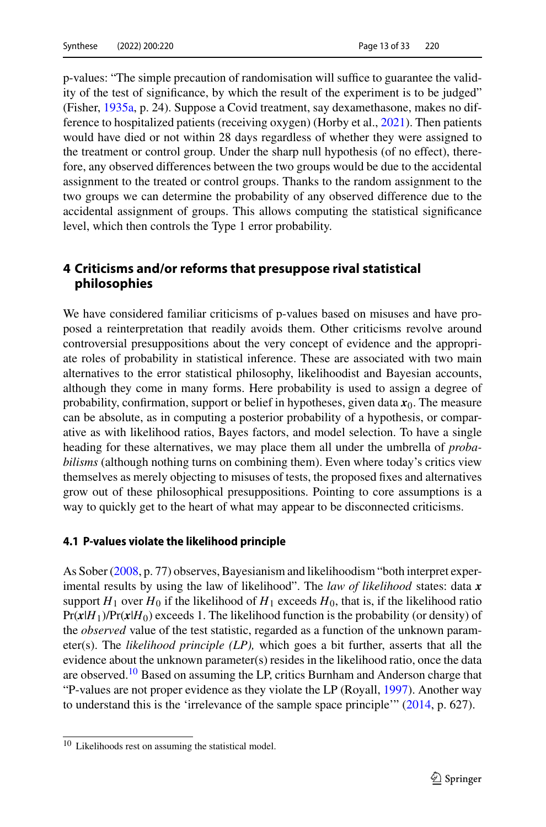p-values: "The simple precaution of randomisation will suffice to guarantee the validity of the test of significance, by which the result of the experiment is to be judged" (Fisher, [1935a,](#page-29-3) p. 24). Suppose a Covid treatment, say dexamethasone, makes no difference to hospitalized patients (receiving oxygen) (Horby et al., [2021\)](#page-30-2). Then patients would have died or not within 28 days regardless of whether they were assigned to the treatment or control group. Under the sharp null hypothesis (of no effect), therefore, any observed differences between the two groups would be due to the accidental assignment to the treated or control groups. Thanks to the random assignment to the two groups we can determine the probability of any observed difference due to the accidental assignment of groups. This allows computing the statistical significance level, which then controls the Type 1 error probability.

## <span id="page-12-0"></span>**4 Criticisms and/or reforms that presuppose rival statistical philosophies**

We have considered familiar criticisms of p-values based on misuses and have proposed a reinterpretation that readily avoids them. Other criticisms revolve around controversial presuppositions about the very concept of evidence and the appropriate roles of probability in statistical inference. These are associated with two main alternatives to the error statistical philosophy, likelihoodist and Bayesian accounts, although they come in many forms. Here probability is used to assign a degree of probability, confirmation, support or belief in hypotheses, given data  $x_0$ . The measure can be absolute, as in computing a posterior probability of a hypothesis, or comparative as with likelihood ratios, Bayes factors, and model selection. To have a single heading for these alternatives, we may place them all under the umbrella of *probabilisms* (although nothing turns on combining them). Even where today's critics view themselves as merely objecting to misuses of tests, the proposed fixes and alternatives grow out of these philosophical presuppositions. Pointing to core assumptions is a way to quickly get to the heart of what may appear to be disconnected criticisms.

#### <span id="page-12-2"></span>**4.1 P-values violate the likelihood principle**

As Sober [\(2008,](#page-32-8) p. 77) observes, Bayesianism and likelihoodism "both interpret experimental results by using the law of likelihood". The *law of likelihood* states: data *x* support  $H_1$  over  $H_0$  if the likelihood of  $H_1$  exceeds  $H_0$ , that is, if the likelihood ratio  $Pr(x|H_1)/Pr(x|H_0)$  exceeds 1. The likelihood function is the probability (or density) of the *observed* value of the test statistic, regarded as a function of the unknown parameter(s). The *likelihood principle (LP),* which goes a bit further, asserts that all the evidence about the unknown parameter(s) resides in the likelihood ratio, once the data are observed.<sup>[10](#page-12-1)</sup> Based on assuming the LP, critics Burnham and Anderson charge that "P-values are not proper evidence as they violate the LP (Royall, [1997\)](#page-31-14). Another way to understand this is the 'irrelevance of the sample space principle'" [\(2014,](#page-29-9) p. 627).

<span id="page-12-1"></span><sup>10</sup> Likelihoods rest on assuming the statistical model.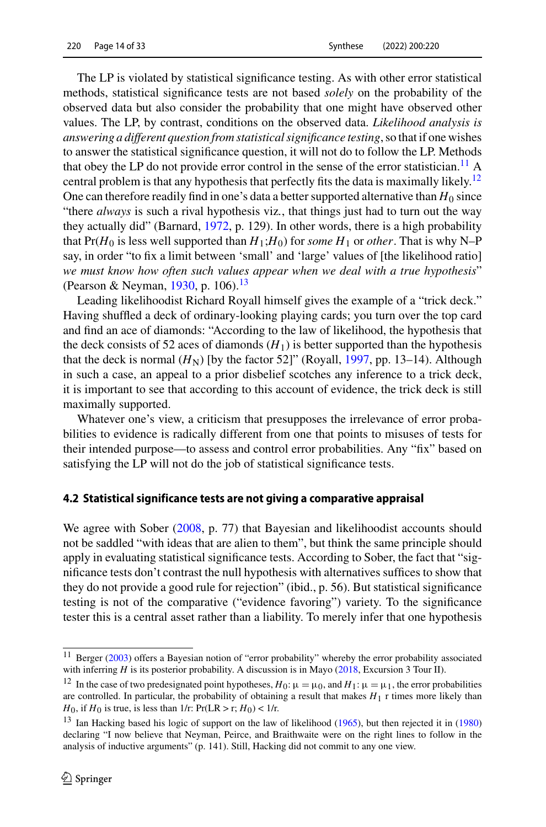The LP is violated by statistical significance testing. As with other error statistical methods, statistical significance tests are not based *solely* on the probability of the observed data but also consider the probability that one might have observed other values. The LP, by contrast, conditions on the observed data. *Likelihood analysis is answering a different question from statistical significance testing*, so that if one wishes to answer the statistical significance question, it will not do to follow the LP. Methods that obey the LP do not provide error control in the sense of the error statistician.<sup>[11](#page-13-0)</sup> A central problem is that any hypothesis that perfectly fits the data is maximally likely.<sup>12</sup> One can therefore readily find in one's data a better supported alternative than  $H_0$  since "there *always* is such a rival hypothesis viz*.*, that things just had to turn out the way they actually did" (Barnard, [1972,](#page-28-6) p. 129). In other words, there is a high probability that  $Pr(H_0$  is less well supported than  $H_1$ ; $H_0$ ) for *some*  $H_1$  or *other*. That is why N–P say, in order "to fix a limit between 'small' and 'large' values of [the likelihood ratio] *we must know how often such values appear when we deal with a true hypothesis*" (Pearson & Neyman, [1930,](#page-31-15) p. 106).<sup>13</sup>

Leading likelihoodist Richard Royall himself gives the example of a "trick deck." Having shuffled a deck of ordinary-looking playing cards; you turn over the top card and find an ace of diamonds: "According to the law of likelihood, the hypothesis that the deck consists of 52 aces of diamonds  $(H_1)$  is better supported than the hypothesis that the deck is normal  $(H_N)$  [by the factor 52]" (Royall, [1997,](#page-31-14) pp. 13–14). Although in such a case, an appeal to a prior disbelief scotches any inference to a trick deck, it is important to see that according to this account of evidence, the trick deck is still maximally supported.

Whatever one's view, a criticism that presupposes the irrelevance of error probabilities to evidence is radically different from one that points to misuses of tests for their intended purpose—to assess and control error probabilities. Any "fix" based on satisfying the LP will not do the job of statistical significance tests.

#### **4.2 Statistical significance tests are not giving a comparative appraisal**

We agree with Sober [\(2008,](#page-32-8) p. 77) that Bayesian and likelihoodist accounts should not be saddled "with ideas that are alien to them", but think the same principle should apply in evaluating statistical significance tests. According to Sober, the fact that "significance tests don't contrast the null hypothesis with alternatives suffices to show that they do not provide a good rule for rejection" (ibid., p. 56). But statistical significance testing is not of the comparative ("evidence favoring") variety. To the significance tester this is a central asset rather than a liability. To merely infer that one hypothesis

<span id="page-13-1"></span><span id="page-13-0"></span> $11$  Berger [\(2003\)](#page-28-7) offers a Bayesian notion of "error probability" whereby the error probability associated with inferring *H* is its posterior probability. A discussion is in Mayo [\(2018,](#page-31-2) Excursion 3 Tour II).

<sup>&</sup>lt;sup>12</sup> In the case of two predesignated point hypotheses,  $H_0: \mu = \mu_0$ , and  $H_1: \mu = \mu_1$ , the error probabilities are controlled. In particular, the probability of obtaining a result that makes  $H_1$  r times more likely than *H*<sub>0</sub>, if *H*<sub>0</sub> is true, is less than 1/r: Pr(LR > r; *H*<sub>0</sub>) < 1/r.

<span id="page-13-2"></span><sup>&</sup>lt;sup>13</sup> Ian Hacking based his logic of support on the law of likelihood [\(1965\)](#page-30-3), but then rejected it in [\(1980\)](#page-30-4) declaring "I now believe that Neyman, Peirce, and Braithwaite were on the right lines to follow in the analysis of inductive arguments" (p. 141). Still, Hacking did not commit to any one view.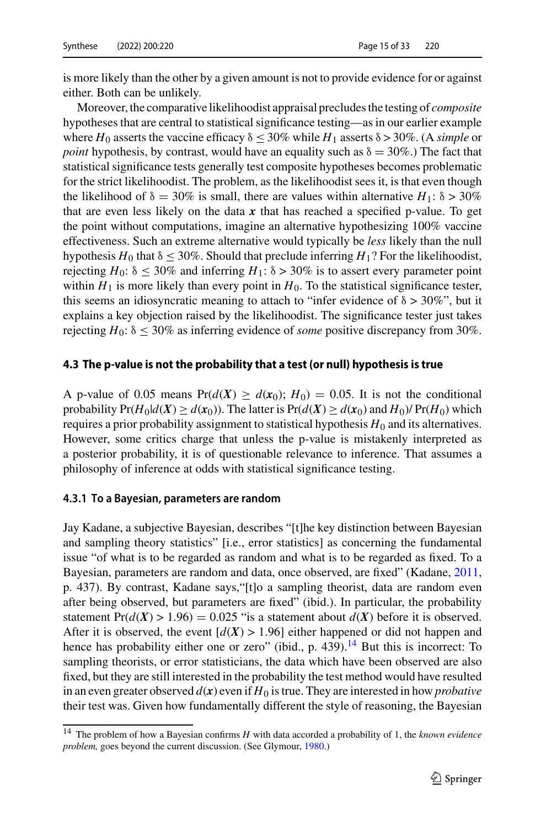is more likely than the other by a given amount is not to provide evidence for or against either. Both can be unlikely.

Moreover, the comparative likelihoodist appraisal precludes the testing of *composite* hypotheses that are central to statistical significance testing—as in our earlier example where  $H_0$  asserts the vaccine efficacy  $\delta \leq 30\%$  while  $H_1$  asserts  $\delta > 30\%$ . (A *simple* or *point* hypothesis, by contrast, would have an equality such as  $\delta = 30\%$ .) The fact that statistical significance tests generally test composite hypotheses becomes problematic for the strict likelihoodist. The problem, as the likelihoodist sees it, is that even though the likelihood of  $\delta = 30\%$  is small, there are values within alternative *H*<sub>1</sub>:  $\delta > 30\%$ that are even less likely on the data  $x$  that has reached a specified p-value. To get the point without computations, imagine an alternative hypothesizing 100% vaccine effectiveness. Such an extreme alternative would typically be *less* likely than the null hypothesis  $H_0$  that  $\delta \leq 30\%$ . Should that preclude inferring  $H_1$ ? For the likelihoodist, rejecting  $H_0$ :  $\delta \leq 30\%$  and inferring  $H_1$ :  $\delta > 30\%$  is to assert every parameter point within  $H_1$  is more likely than every point in  $H_0$ . To the statistical significance tester, this seems an idiosyncratic meaning to attach to "infer evidence of  $\delta > 30\%$ ", but it explains a key objection raised by the likelihoodist. The significance tester just takes rejecting  $H_0$ :  $\delta \leq 30\%$  as inferring evidence of *some* positive discrepancy from 30%.

#### <span id="page-14-1"></span>**4.3 The p-value is not the probability that a test (or null) hypothesis is true**

A p-value of 0.05 means  $Pr(d(X) \geq d(x_0); H_0) = 0.05$ . It is not the conditional probability  $Pr(H_0|d(X) \geq d(x_0))$ . The latter is  $Pr(d(X) \geq d(x_0))$  and  $H_0$ )/  $Pr(H_0)$  which requires a prior probability assignment to statistical hypothesis  $H_0$  and its alternatives. However, some critics charge that unless the p-value is mistakenly interpreted as a posterior probability, it is of questionable relevance to inference. That assumes a philosophy of inference at odds with statistical significance testing.

#### **4.3.1 To a Bayesian, parameters are random**

Jay Kadane, a subjective Bayesian, describes "[t]he key distinction between Bayesian and sampling theory statistics" [i.e., error statistics] as concerning the fundamental issue "of what is to be regarded as random and what is to be regarded as fixed. To a Bayesian, parameters are random and data, once observed, are fixed" (Kadane, [2011,](#page-30-5) p. 437). By contrast, Kadane says,"[t]o a sampling theorist, data are random even after being observed, but parameters are fixed" (ibid.). In particular, the probability statement  $Pr(d(X) > 1.96) = 0.025$  "is a statement about  $d(X)$  before it is observed. After it is observed, the event  $[d(X) > 1.96]$  either happened or did not happen and hence has probability either one or zero" (ibid., p. 439).<sup>[14](#page-14-0)</sup> But this is incorrect: To sampling theorists, or error statisticians, the data which have been observed are also fixed, but they are still interested in the probability the test method would have resulted in an even greater observed  $d(x)$  even if  $H_0$  is true. They are interested in how *probative* their test was. Given how fundamentally different the style of reasoning, the Bayesian

<span id="page-14-0"></span><sup>14</sup> The problem of how a Bayesian confirms *H* with data accorded a probability of 1, the *known evidence problem,* goes beyond the current discussion. (See Glymour, [1980.](#page-29-10))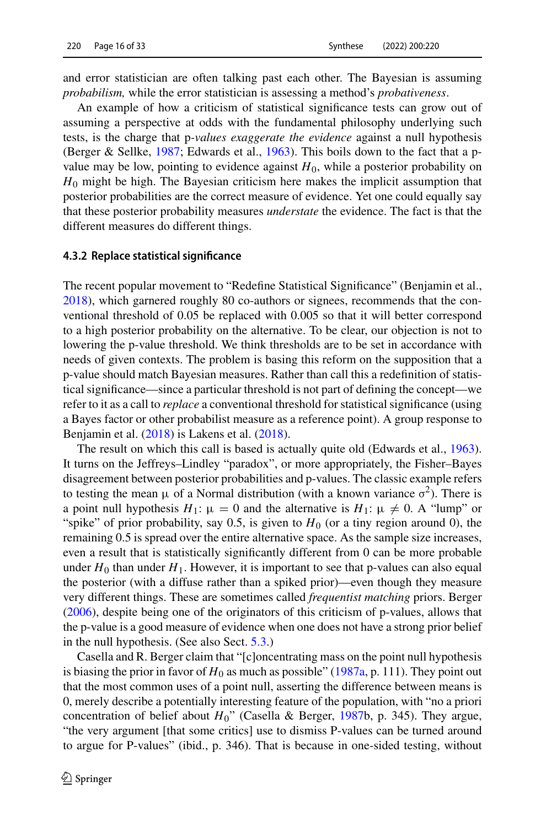and error statistician are often talking past each other. The Bayesian is assuming *probabilism,* while the error statistician is assessing a method's *probativeness*.

An example of how a criticism of statistical significance tests can grow out of assuming a perspective at odds with the fundamental philosophy underlying such tests, is the charge that p*-values exaggerate the evidence* against a null hypothesis (Berger & Sellke, [1987;](#page-28-8) Edwards et al., [1963\)](#page-29-11). This boils down to the fact that a pvalue may be low, pointing to evidence against  $H_0$ , while a posterior probability on *H*<sup>0</sup> might be high. The Bayesian criticism here makes the implicit assumption that posterior probabilities are the correct measure of evidence. Yet one could equally say that these posterior probability measures *understate* the evidence. The fact is that the different measures do different things.

#### **4.3.2 Replace statistical significance**

The recent popular movement to "Redefine Statistical Significance" (Benjamin et al., [2018\)](#page-28-9), which garnered roughly 80 co-authors or signees, recommends that the conventional threshold of 0.05 be replaced with 0.005 so that it will better correspond to a high posterior probability on the alternative. To be clear, our objection is not to lowering the p-value threshold. We think thresholds are to be set in accordance with needs of given contexts. The problem is basing this reform on the supposition that a p-value should match Bayesian measures. Rather than call this a redefinition of statistical significance—since a particular threshold is not part of defining the concept—we refer to it as a call to *replace* a conventional threshold for statistical significance (using a Bayes factor or other probabilist measure as a reference point). A group response to Benjamin et al. [\(2018\)](#page-28-9) is Lakens et al. [\(2018\)](#page-30-6).

The result on which this call is based is actually quite old (Edwards et al., [1963\)](#page-29-11). It turns on the Jeffreys–Lindley "paradox", or more appropriately, the Fisher–Bayes disagreement between posterior probabilities and p-values. The classic example refers to testing the mean  $\mu$  of a Normal distribution (with a known variance  $\sigma^2$ ). There is a point null hypothesis  $H_1$ :  $\mu = 0$  and the alternative is  $H_1$ :  $\mu \neq 0$ . A "lump" or "spike" of prior probability, say 0.5, is given to  $H_0$  (or a tiny region around 0), the remaining 0.5 is spread over the entire alternative space. As the sample size increases, even a result that is statistically significantly different from 0 can be more probable under  $H_0$  than under  $H_1$ . However, it is important to see that p-values can also equal the posterior (with a diffuse rather than a spiked prior)—even though they measure very different things. These are sometimes called *frequentist matching* priors. Berger [\(2006\)](#page-28-10), despite being one of the originators of this criticism of p-values, allows that the p-value is a good measure of evidence when one does not have a strong prior belief in the null hypothesis. (See also Sect. [5.3.](#page-21-0))

Casella and R. Berger claim that "[c]oncentrating mass on the point null hypothesis is biasing the prior in favor of  $H_0$  as much as possible" [\(1987a,](#page-29-12) p. 111). They point out that the most common uses of a point null, asserting the difference between means is 0, merely describe a potentially interesting feature of the population, with "no a priori concentration of belief about *H*0" (Casella & Berger, [1987b](#page-29-13), p. 345). They argue, "the very argument [that some critics] use to dismiss P-values can be turned around to argue for P-values" (ibid., p. 346). That is because in one-sided testing, without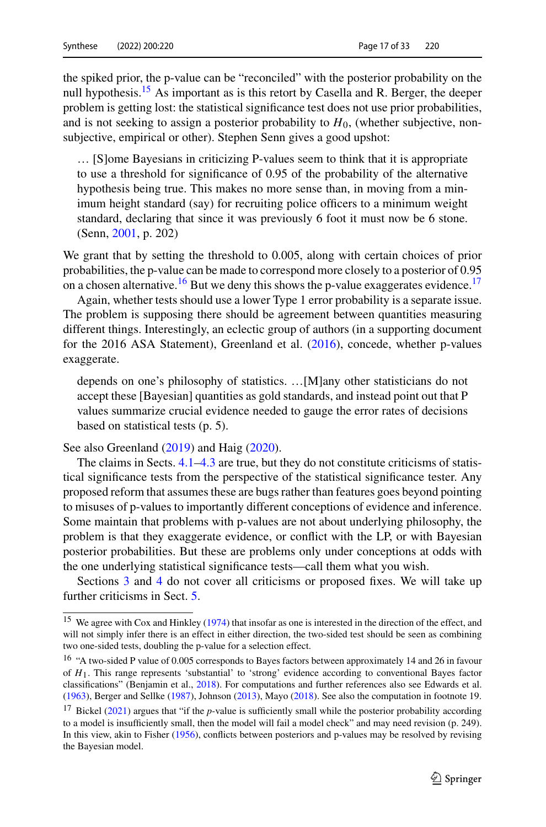the spiked prior, the p-value can be "reconciled" with the posterior probability on the null hypothesis.<sup>15</sup> As important as is this retort by Casella and R. Berger, the deeper problem is getting lost: the statistical significance test does not use prior probabilities, and is not seeking to assign a posterior probability to  $H_0$ , (whether subjective, nonsubjective, empirical or other). Stephen Senn gives a good upshot:

… [S]ome Bayesians in criticizing P-values seem to think that it is appropriate to use a threshold for significance of 0.95 of the probability of the alternative hypothesis being true. This makes no more sense than, in moving from a minimum height standard (say) for recruiting police officers to a minimum weight standard, declaring that since it was previously 6 foot it must now be 6 stone. (Senn, [2001,](#page-32-9) p. 202)

We grant that by setting the threshold to 0.005, along with certain choices of prior probabilities, the p-value can be made to correspond more closely to a posterior of 0.95 on a chosen alternative.<sup>[16](#page-16-1)</sup> But we deny this shows the p-value exaggerates evidence.<sup>17</sup>

Again, whether tests should use a lower Type 1 error probability is a separate issue. The problem is supposing there should be agreement between quantities measuring different things. Interestingly, an eclectic group of authors (in a supporting document for the 2016 ASA Statement), Greenland et al. [\(2016\)](#page-30-7), concede, whether p-values exaggerate.

depends on one's philosophy of statistics. …[M]any other statisticians do not accept these [Bayesian] quantities as gold standards, and instead point out that P values summarize crucial evidence needed to gauge the error rates of decisions based on statistical tests (p. 5).

See also Greenland [\(2019\)](#page-30-8) and Haig [\(2020\)](#page-30-9).

The claims in Sects. [4.1](#page-12-2)[–4.3](#page-14-1) are true, but they do not constitute criticisms of statistical significance tests from the perspective of the statistical significance tester. Any proposed reform that assumes these are bugs rather than features goes beyond pointing to misuses of p-values to importantly different conceptions of evidence and inference. Some maintain that problems with p-values are not about underlying philosophy, the problem is that they exaggerate evidence, or conflict with the LP, or with Bayesian posterior probabilities. But these are problems only under conceptions at odds with the one underlying statistical significance tests—call them what you wish.

Sections [3](#page-6-0) and [4](#page-12-0) do not cover all criticisms or proposed fixes. We will take up further criticisms in Sect. [5.](#page-17-0)

<span id="page-16-0"></span><sup>&</sup>lt;sup>15</sup> We agree with Cox and Hinkley [\(1974\)](#page-29-1) that insofar as one is interested in the direction of the effect, and will not simply infer there is an effect in either direction, the two-sided test should be seen as combining two one-sided tests, doubling the p-value for a selection effect.

<span id="page-16-1"></span><sup>&</sup>lt;sup>16</sup> "A two-sided P value of 0.005 corresponds to Bayes factors between approximately 14 and 26 in favour of *H*1. This range represents 'substantial' to 'strong' evidence according to conventional Bayes factor classifications" (Benjamin et al., [2018\)](#page-28-9). For computations and further references also see Edwards et al. [\(1963\)](#page-29-11), Berger and Sellke [\(1987\)](#page-28-8), Johnson [\(2013\)](#page-30-10), Mayo [\(2018\)](#page-31-2). See also the computation in footnote 19.

<span id="page-16-2"></span><sup>&</sup>lt;sup>17</sup> Bickel [\(2021\)](#page-29-14) argues that "if the *p*-value is sufficiently small while the posterior probability according to a model is insufficiently small, then the model will fail a model check" and may need revision (p. 249). In this view, akin to Fisher [\(1956\)](#page-29-0), conflicts between posteriors and p-values may be resolved by revising the Bayesian model.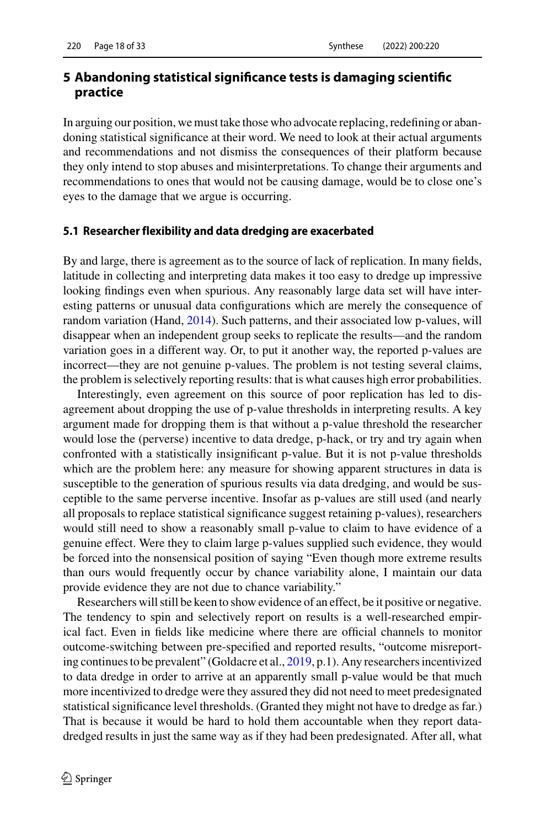## <span id="page-17-0"></span>**5 Abandoning statistical significance tests is damaging scientific practice**

In arguing our position, we must take those who advocate replacing, redefining or abandoning statistical significance at their word. We need to look at their actual arguments and recommendations and not dismiss the consequences of their platform because they only intend to stop abuses and misinterpretations. To change their arguments and recommendations to ones that would not be causing damage, would be to close one's eyes to the damage that we argue is occurring.

#### <span id="page-17-1"></span>**5.1 Researcher flexibility and data dredging are exacerbated**

By and large, there is agreement as to the source of lack of replication. In many fields, latitude in collecting and interpreting data makes it too easy to dredge up impressive looking findings even when spurious. Any reasonably large data set will have interesting patterns or unusual data configurations which are merely the consequence of random variation (Hand, [2014\)](#page-30-11). Such patterns, and their associated low p-values, will disappear when an independent group seeks to replicate the results—and the random variation goes in a different way. Or, to put it another way, the reported p-values are incorrect—they are not genuine p-values. The problem is not testing several claims, the problem is selectively reporting results: that is what causes high error probabilities.

Interestingly, even agreement on this source of poor replication has led to disagreement about dropping the use of p-value thresholds in interpreting results. A key argument made for dropping them is that without a p-value threshold the researcher would lose the (perverse) incentive to data dredge, p-hack, or try and try again when confronted with a statistically insignificant p-value. But it is not p-value thresholds which are the problem here: any measure for showing apparent structures in data is susceptible to the generation of spurious results via data dredging, and would be susceptible to the same perverse incentive. Insofar as p-values are still used (and nearly all proposals to replace statistical significance suggest retaining p-values), researchers would still need to show a reasonably small p-value to claim to have evidence of a genuine effect. Were they to claim large p-values supplied such evidence, they would be forced into the nonsensical position of saying "Even though more extreme results than ours would frequently occur by chance variability alone, I maintain our data provide evidence they are not due to chance variability."

Researchers will still be keen to show evidence of an effect, be it positive or negative. The tendency to spin and selectively report on results is a well-researched empirical fact. Even in fields like medicine where there are official channels to monitor outcome-switching between pre-specified and reported results, "outcome misreporting continues to be prevalent" (Goldacre et al., [2019,](#page-29-15) p.1). Any researchers incentivized to data dredge in order to arrive at an apparently small p-value would be that much more incentivized to dredge were they assured they did not need to meet predesignated statistical significance level thresholds. (Granted they might not have to dredge as far.) That is because it would be hard to hold them accountable when they report datadredged results in just the same way as if they had been predesignated. After all, what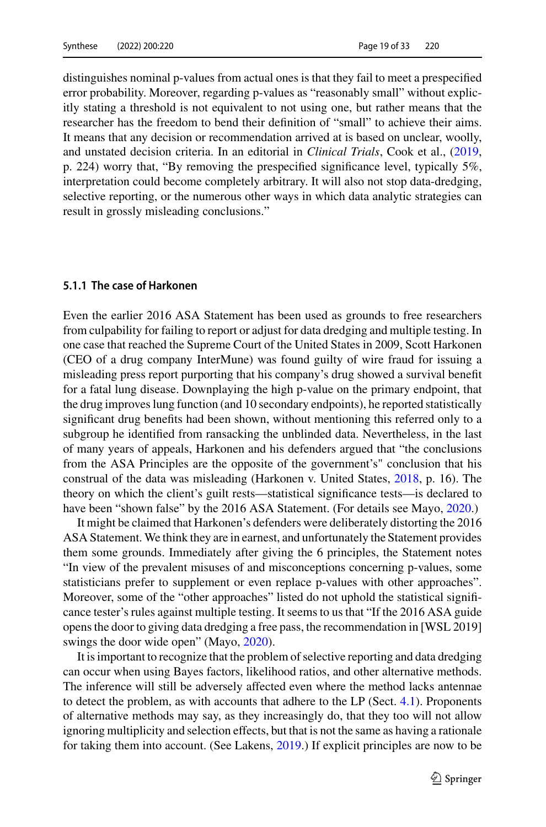distinguishes nominal p-values from actual ones is that they fail to meet a prespecified error probability. Moreover, regarding p-values as "reasonably small" without explicitly stating a threshold is not equivalent to not using one, but rather means that the researcher has the freedom to bend their definition of "small" to achieve their aims. It means that any decision or recommendation arrived at is based on unclear, woolly, and unstated decision criteria. In an editorial in *Clinical Trials*, Cook et al., [\(2019,](#page-29-16) p. 224) worry that, "By removing the prespecified significance level, typically 5%, interpretation could become completely arbitrary. It will also not stop data-dredging, selective reporting, or the numerous other ways in which data analytic strategies can result in grossly misleading conclusions."

#### **5.1.1 The case of Harkonen**

Even the earlier 2016 ASA Statement has been used as grounds to free researchers from culpability for failing to report or adjust for data dredging and multiple testing. In one case that reached the Supreme Court of the United States in 2009, Scott Harkonen (CEO of a drug company InterMune) was found guilty of wire fraud for issuing a misleading press report purporting that his company's drug showed a survival benefit for a fatal lung disease. Downplaying the high p-value on the primary endpoint, that the drug improves lung function (and 10 secondary endpoints), he reported statistically significant drug benefits had been shown, without mentioning this referred only to a subgroup he identified from ransacking the unblinded data. Nevertheless, in the last of many years of appeals, Harkonen and his defenders argued that "the conclusions from the ASA Principles are the opposite of the government's" conclusion that his construal of the data was misleading (Harkonen v. United States, [2018,](#page-30-12) p. 16). The theory on which the client's guilt rests—statistical significance tests—is declared to have been "shown false" by the 2016 ASA Statement. (For details see Mayo, [2020.](#page-31-16))

It might be claimed that Harkonen's defenders were deliberately distorting the 2016 ASA Statement. We think they are in earnest, and unfortunately the Statement provides them some grounds. Immediately after giving the 6 principles, the Statement notes "In view of the prevalent misuses of and misconceptions concerning p-values, some statisticians prefer to supplement or even replace p-values with other approaches". Moreover, some of the "other approaches" listed do not uphold the statistical significance tester's rules against multiple testing. It seems to us that "If the 2016 ASA guide opens the door to giving data dredging a free pass, the recommendation in [WSL 2019] swings the door wide open" (Mayo, [2020\)](#page-31-16).

It is important to recognize that the problem of selective reporting and data dredging can occur when using Bayes factors, likelihood ratios, and other alternative methods. The inference will still be adversely affected even where the method lacks antennae to detect the problem, as with accounts that adhere to the LP (Sect. [4.1\)](#page-12-2). Proponents of alternative methods may say, as they increasingly do, that they too will not allow ignoring multiplicity and selection effects, but that is not the same as having a rationale for taking them into account. (See Lakens, [2019.](#page-30-13)) If explicit principles are now to be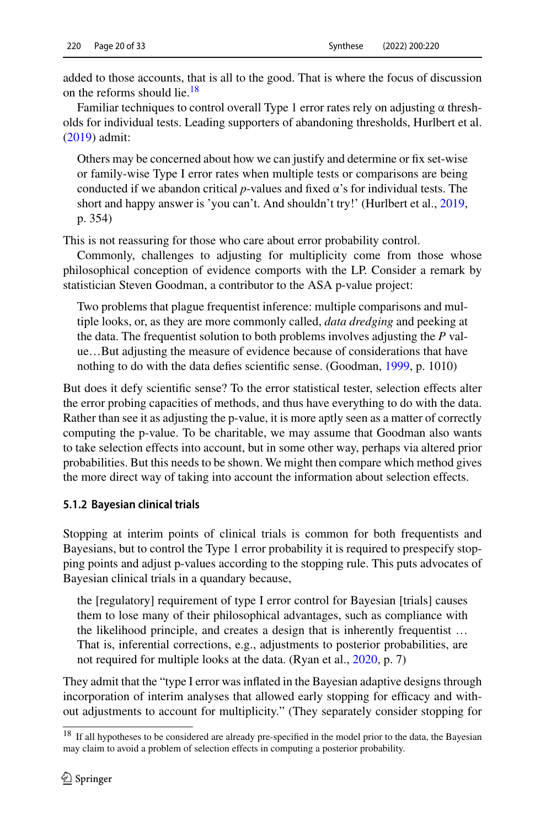added to those accounts, that is all to the good. That is where the focus of discussion on the reforms should lie.<sup>[18](#page-19-0)</sup>

Familiar techniques to control overall Type 1 error rates rely on adjusting  $\alpha$  thresholds for individual tests. Leading supporters of abandoning thresholds, Hurlbert et al. [\(2019\)](#page-30-14) admit:

Others may be concerned about how we can justify and determine or fix set-wise or family-wise Type I error rates when multiple tests or comparisons are being conducted if we abandon critical  $p$ -values and fixed  $\alpha$ 's for individual tests. The short and happy answer is 'you can't. And shouldn't try!' (Hurlbert et al., [2019,](#page-30-14) p. 354)

This is not reassuring for those who care about error probability control.

Commonly, challenges to adjusting for multiplicity come from those whose philosophical conception of evidence comports with the LP. Consider a remark by statistician Steven Goodman, a contributor to the ASA p-value project:

Two problems that plague frequentist inference: multiple comparisons and multiple looks, or, as they are more commonly called, *data dredging* and peeking at the data. The frequentist solution to both problems involves adjusting the *P* value…But adjusting the measure of evidence because of considerations that have nothing to do with the data defies scientific sense. (Goodman, [1999,](#page-29-17) p. 1010)

But does it defy scientific sense? To the error statistical tester, selection effects alter the error probing capacities of methods, and thus have everything to do with the data. Rather than see it as adjusting the p-value, it is more aptly seen as a matter of correctly computing the p-value. To be charitable, we may assume that Goodman also wants to take selection effects into account, but in some other way, perhaps via altered prior probabilities. But this needs to be shown. We might then compare which method gives the more direct way of taking into account the information about selection effects.

#### **5.1.2 Bayesian clinical trials**

Stopping at interim points of clinical trials is common for both frequentists and Bayesians, but to control the Type 1 error probability it is required to prespecify stopping points and adjust p-values according to the stopping rule. This puts advocates of Bayesian clinical trials in a quandary because,

the [regulatory] requirement of type I error control for Bayesian [trials] causes them to lose many of their philosophical advantages, such as compliance with the likelihood principle, and creates a design that is inherently frequentist … That is, inferential corrections, e.g., adjustments to posterior probabilities, are not required for multiple looks at the data. (Ryan et al., [2020,](#page-31-17) p. 7)

They admit that the "type I error was inflated in the Bayesian adaptive designs through incorporation of interim analyses that allowed early stopping for efficacy and without adjustments to account for multiplicity." (They separately consider stopping for

<span id="page-19-0"></span><sup>&</sup>lt;sup>18</sup> If all hypotheses to be considered are already pre-specified in the model prior to the data, the Bayesian may claim to avoid a problem of selection effects in computing a posterior probability.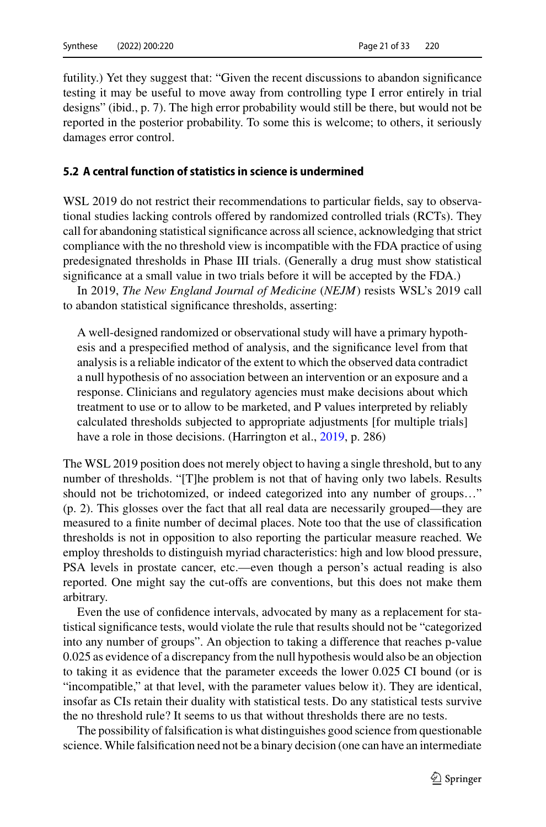futility.) Yet they suggest that: "Given the recent discussions to abandon significance testing it may be useful to move away from controlling type I error entirely in trial designs" (ibid., p. 7). The high error probability would still be there, but would not be reported in the posterior probability. To some this is welcome; to others, it seriously damages error control.

## <span id="page-20-0"></span>**5.2 A central function of statistics in science is undermined**

WSL 2019 do not restrict their recommendations to particular fields, say to observational studies lacking controls offered by randomized controlled trials (RCTs). They call for abandoning statistical significance across all science, acknowledging that strict compliance with the no threshold view is incompatible with the FDA practice of using predesignated thresholds in Phase III trials. (Generally a drug must show statistical significance at a small value in two trials before it will be accepted by the FDA.)

In 2019, *The New England Journal of Medicine* (*NEJM*) resists WSL's 2019 call to abandon statistical significance thresholds, asserting:

A well-designed randomized or observational study will have a primary hypothesis and a prespecified method of analysis, and the significance level from that analysis is a reliable indicator of the extent to which the observed data contradict a null hypothesis of no association between an intervention or an exposure and a response. Clinicians and regulatory agencies must make decisions about which treatment to use or to allow to be marketed, and P values interpreted by reliably calculated thresholds subjected to appropriate adjustments [for multiple trials] have a role in those decisions. (Harrington et al., [2019,](#page-30-15) p. 286)

The WSL 2019 position does not merely object to having a single threshold, but to any number of thresholds. "[T]he problem is not that of having only two labels. Results should not be trichotomized, or indeed categorized into any number of groups…" (p. 2). This glosses over the fact that all real data are necessarily grouped—they are measured to a finite number of decimal places. Note too that the use of classification thresholds is not in opposition to also reporting the particular measure reached. We employ thresholds to distinguish myriad characteristics: high and low blood pressure, PSA levels in prostate cancer, etc.—even though a person's actual reading is also reported. One might say the cut-offs are conventions, but this does not make them arbitrary.

Even the use of confidence intervals, advocated by many as a replacement for statistical significance tests, would violate the rule that results should not be "categorized into any number of groups". An objection to taking a difference that reaches p-value 0.025 as evidence of a discrepancy from the null hypothesis would also be an objection to taking it as evidence that the parameter exceeds the lower 0.025 CI bound (or is "incompatible," at that level, with the parameter values below it). They are identical, insofar as CIs retain their duality with statistical tests. Do any statistical tests survive the no threshold rule? It seems to us that without thresholds there are no tests.

The possibility of falsification is what distinguishes good science from questionable science. While falsification need not be a binary decision (one can have an intermediate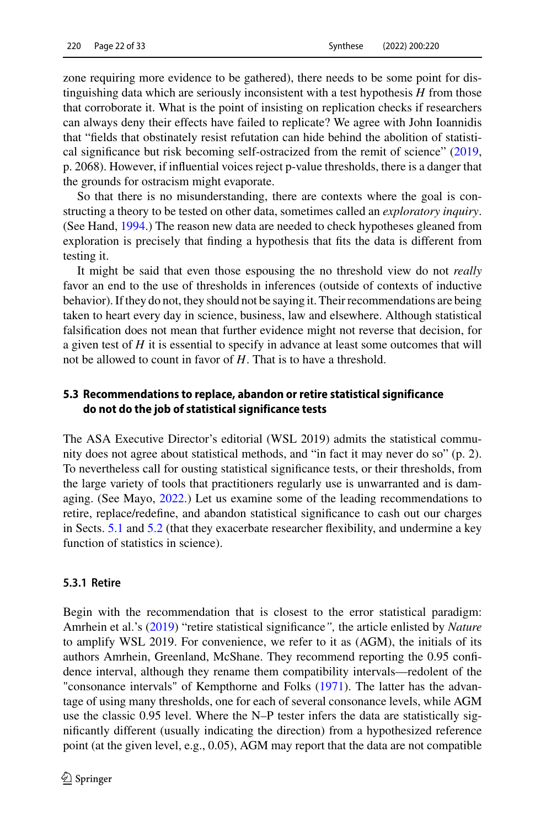zone requiring more evidence to be gathered), there needs to be some point for distinguishing data which are seriously inconsistent with a test hypothesis *H* from those that corroborate it. What is the point of insisting on replication checks if researchers can always deny their effects have failed to replicate? We agree with John Ioannidis that "fields that obstinately resist refutation can hide behind the abolition of statistical significance but risk becoming self-ostracized from the remit of science" [\(2019,](#page-30-16) p. 2068). However, if influential voices reject p-value thresholds, there is a danger that the grounds for ostracism might evaporate.

So that there is no misunderstanding, there are contexts where the goal is constructing a theory to be tested on other data, sometimes called an *exploratory inquiry*. (See Hand, [1994.](#page-30-17)) The reason new data are needed to check hypotheses gleaned from exploration is precisely that finding a hypothesis that fits the data is different from testing it.

It might be said that even those espousing the no threshold view do not *really* favor an end to the use of thresholds in inferences (outside of contexts of inductive behavior). If they do not, they should not be saying it. Their recommendations are being taken to heart every day in science, business, law and elsewhere. Although statistical falsification does not mean that further evidence might not reverse that decision, for a given test of *H* it is essential to specify in advance at least some outcomes that will not be allowed to count in favor of *H*. That is to have a threshold.

## <span id="page-21-0"></span>**5.3 Recommendations to replace, abandon or retire statistical significance do not do the job of statistical significance tests**

The ASA Executive Director's editorial (WSL 2019) admits the statistical community does not agree about statistical methods, and "in fact it may never do so" (p. 2). To nevertheless call for ousting statistical significance tests, or their thresholds, from the large variety of tools that practitioners regularly use is unwarranted and is damaging. (See Mayo, [2022.](#page-31-18)) Let us examine some of the leading recommendations to retire, replace/redefine, and abandon statistical significance to cash out our charges in Sects. [5.1](#page-17-1) and [5.2](#page-20-0) (that they exacerbate researcher flexibility, and undermine a key function of statistics in science).

#### **5.3.1 Retire**

Begin with the recommendation that is closest to the error statistical paradigm: Amrhein et al.'s [\(2019\)](#page-28-3) "retire statistical significance*",* the article enlisted by *Nature* to amplify WSL 2019. For convenience, we refer to it as (AGM), the initials of its authors Amrhein, Greenland, McShane. They recommend reporting the 0.95 confidence interval, although they rename them compatibility intervals—redolent of the "consonance intervals" of Kempthorne and Folks [\(1971\)](#page-30-18). The latter has the advantage of using many thresholds, one for each of several consonance levels, while AGM use the classic 0.95 level. Where the N–P tester infers the data are statistically significantly different (usually indicating the direction) from a hypothesized reference point (at the given level, e.g., 0.05), AGM may report that the data are not compatible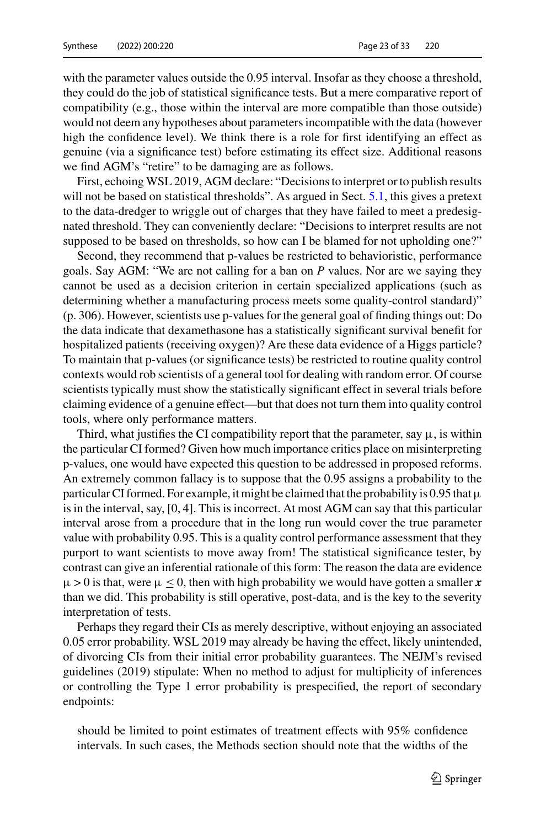with the parameter values outside the 0.95 interval. Insofar as they choose a threshold, they could do the job of statistical significance tests. But a mere comparative report of compatibility (e.g., those within the interval are more compatible than those outside) would not deem any hypotheses about parameters incompatible with the data (however high the confidence level). We think there is a role for first identifying an effect as genuine (via a significance test) before estimating its effect size. Additional reasons we find AGM's "retire" to be damaging are as follows.

First, echoing WSL 2019, AGM declare: "Decisions to interpret or to publish results will not be based on statistical thresholds". As argued in Sect. [5.1,](#page-17-1) this gives a pretext to the data-dredger to wriggle out of charges that they have failed to meet a predesignated threshold. They can conveniently declare: "Decisions to interpret results are not supposed to be based on thresholds, so how can I be blamed for not upholding one?"

Second, they recommend that p-values be restricted to behavioristic, performance goals. Say AGM: "We are not calling for a ban on *P* values. Nor are we saying they cannot be used as a decision criterion in certain specialized applications (such as determining whether a manufacturing process meets some quality-control standard)" (p. 306). However, scientists use p-values for the general goal of finding things out: Do the data indicate that dexamethasone has a statistically significant survival benefit for hospitalized patients (receiving oxygen)? Are these data evidence of a Higgs particle? To maintain that p-values (or significance tests) be restricted to routine quality control contexts would rob scientists of a general tool for dealing with random error. Of course scientists typically must show the statistically significant effect in several trials before claiming evidence of a genuine effect—but that does not turn them into quality control tools, where only performance matters.

Third, what justifies the CI compatibility report that the parameter, say  $\mu$ , is within the particular CI formed? Given how much importance critics place on misinterpreting p-values, one would have expected this question to be addressed in proposed reforms. An extremely common fallacy is to suppose that the 0.95 assigns a probability to the particular CI formed. For example, it might be claimed that the probability is 0.95 that  $\mu$ is in the interval, say, [0, 4]. This is incorrect. At most AGM can say that this particular interval arose from a procedure that in the long run would cover the true parameter value with probability 0.95. This is a quality control performance assessment that they purport to want scientists to move away from! The statistical significance tester, by contrast can give an inferential rationale of this form: The reason the data are evidence  $\mu > 0$  is that, were  $\mu \leq 0$ , then with high probability we would have gotten a smaller x than we did. This probability is still operative, post-data, and is the key to the severity interpretation of tests.

Perhaps they regard their CIs as merely descriptive, without enjoying an associated 0.05 error probability. WSL 2019 may already be having the effect, likely unintended, of divorcing CIs from their initial error probability guarantees. The NEJM's revised guidelines (2019) stipulate: When no method to adjust for multiplicity of inferences or controlling the Type 1 error probability is prespecified, the report of secondary endpoints:

should be limited to point estimates of treatment effects with 95% confidence intervals. In such cases, the Methods section should note that the widths of the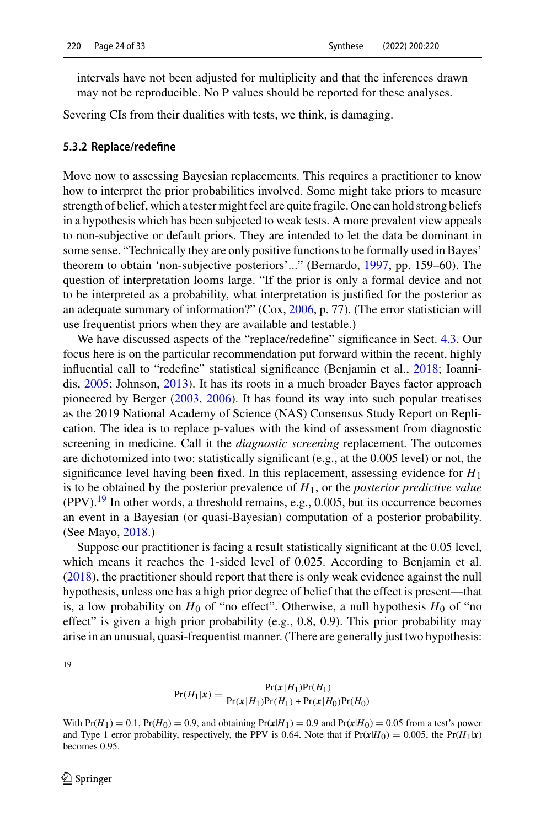intervals have not been adjusted for multiplicity and that the inferences drawn may not be reproducible. No P values should be reported for these analyses.

Severing CIs from their dualities with tests, we think, is damaging.

#### <span id="page-23-0"></span>**5.3.2 Replace/redefine**

Move now to assessing Bayesian replacements. This requires a practitioner to know how to interpret the prior probabilities involved. Some might take priors to measure strength of belief, which a tester might feel are quite fragile. One can hold strong beliefs in a hypothesis which has been subjected to weak tests. A more prevalent view appeals to non-subjective or default priors. They are intended to let the data be dominant in some sense. "Technically they are only positive functions to be formally used in Bayes' theorem to obtain 'non-subjective posteriors'..." (Bernardo, [1997,](#page-29-18) pp. 159–60). The question of interpretation looms large. "If the prior is only a formal device and not to be interpreted as a probability, what interpretation is justified for the posterior as an adequate summary of information?" (Cox, [2006,](#page-29-2) p. 77). (The error statistician will use frequentist priors when they are available and testable.)

We have discussed aspects of the "replace/redefine" significance in Sect. [4.3.](#page-14-1) Our focus here is on the particular recommendation put forward within the recent, highly influential call to "redefine" statistical significance (Benjamin et al., [2018;](#page-28-9) Ioannidis, [2005;](#page-30-0) Johnson, [2013\)](#page-30-10). It has its roots in a much broader Bayes factor approach pioneered by Berger [\(2003,](#page-28-7) [2006\)](#page-28-10). It has found its way into such popular treatises as the 2019 National Academy of Science (NAS) Consensus Study Report on Replication. The idea is to replace p-values with the kind of assessment from diagnostic screening in medicine. Call it the *diagnostic screening* replacement. The outcomes are dichotomized into two: statistically significant (e.g., at the 0.005 level) or not, the significance level having been fixed. In this replacement, assessing evidence for *H*<sup>1</sup> is to be obtained by the posterior prevalence of *H*1, or the *posterior predictive value*  $(PPV)$ .<sup>19</sup> In other words, a threshold remains, e.g., 0.005, but its occurrence becomes an event in a Bayesian (or quasi-Bayesian) computation of a posterior probability. (See Mayo, [2018.](#page-31-2))

Suppose our practitioner is facing a result statistically significant at the 0.05 level, which means it reaches the 1-sided level of 0.025. According to Benjamin et al. [\(2018\)](#page-28-9), the practitioner should report that there is only weak evidence against the null hypothesis, unless one has a high prior degree of belief that the effect is present—that is, a low probability on  $H_0$  of "no effect". Otherwise, a null hypothesis  $H_0$  of "no effect" is given a high prior probability (e.g., 0.8, 0.9). This prior probability may arise in an unusual, quasi-frequentist manner. (There are generally just two hypothesis:

<span id="page-23-1"></span> $\overline{19}$ 

$$
Pr(H_1|x) = \frac{Pr(x|H_1)Pr(H_1)}{Pr(x|H_1)Pr(H_1) + Pr(x|H_0)Pr(H_0)}
$$

With  $Pr(H_1) = 0.1$ ,  $Pr(H_0) = 0.9$ , and obtaining  $Pr(x|H_1) = 0.9$  and  $Pr(x|H_0) = 0.05$  from a test's power and Type 1 error probability, respectively, the PPV is 0.64. Note that if  $Pr(x|H_0) = 0.005$ , the  $Pr(H_1|x)$ becomes 0.95.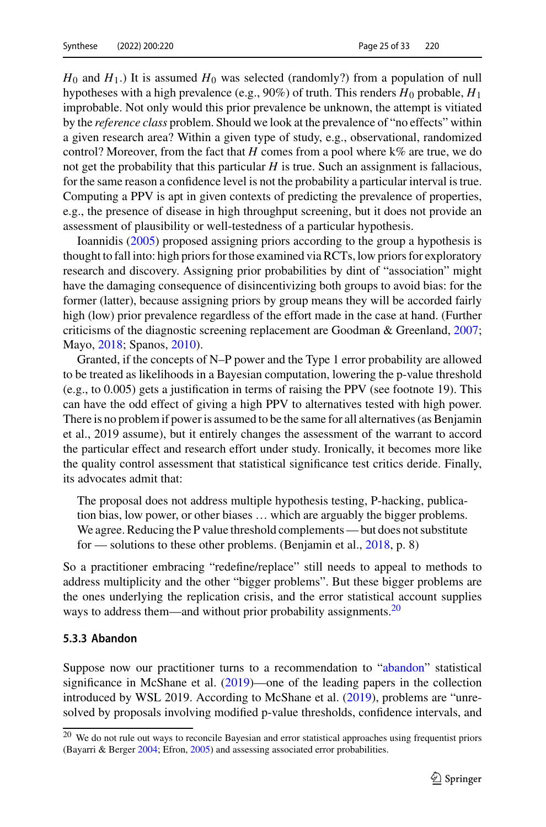$H_0$  and  $H_1$ .) It is assumed  $H_0$  was selected (randomly?) from a population of null hypotheses with a high prevalence (e.g., 90%) of truth. This renders  $H_0$  probable,  $H_1$ improbable. Not only would this prior prevalence be unknown, the attempt is vitiated by the *reference class* problem. Should we look at the prevalence of "no effects" within a given research area? Within a given type of study, e.g., observational, randomized control? Moreover, from the fact that *H* comes from a pool where k% are true, we do not get the probability that this particular  $H$  is true. Such an assignment is fallacious, for the same reason a confidence level is not the probability a particular interval is true. Computing a PPV is apt in given contexts of predicting the prevalence of properties, e.g., the presence of disease in high throughput screening, but it does not provide an assessment of plausibility or well-testedness of a particular hypothesis.

Ioannidis [\(2005\)](#page-30-0) proposed assigning priors according to the group a hypothesis is thought to fall into: high priors for those examined via RCTs, low priors for exploratory research and discovery. Assigning prior probabilities by dint of "association" might have the damaging consequence of disincentivizing both groups to avoid bias: for the former (latter), because assigning priors by group means they will be accorded fairly high (low) prior prevalence regardless of the effort made in the case at hand. (Further criticisms of the diagnostic screening replacement are Goodman & Greenland,  $2007$ ; Mayo, [2018;](#page-31-2) Spanos, [2010\)](#page-32-10).

Granted, if the concepts of N–P power and the Type 1 error probability are allowed to be treated as likelihoods in a Bayesian computation, lowering the p-value threshold (e.g., to 0.005) gets a justification in terms of raising the PPV (see footnote 19). This can have the odd effect of giving a high PPV to alternatives tested with high power. There is no problem if power is assumed to be the same for all alternatives (as Benjamin et al., 2019 assume), but it entirely changes the assessment of the warrant to accord the particular effect and research effort under study. Ironically, it becomes more like the quality control assessment that statistical significance test critics deride. Finally, its advocates admit that:

The proposal does not address multiple hypothesis testing, P-hacking, publication bias, low power, or other biases … which are arguably the bigger problems. We agree. Reducing the P value threshold complements — but does not substitute for — solutions to these other problems. (Benjamin et al., [2018,](#page-28-9) p. 8)

So a practitioner embracing "redefine/replace" still needs to appeal to methods to address multiplicity and the other "bigger problems". But these bigger problems are the ones underlying the replication crisis, and the error statistical account supplies ways to address them—and without prior probability assignments.<sup>20</sup>

#### **5.3.3 Abandon**

Suppose now our practitioner turns to a recommendation to ["abandon"](#page-25-0) statistical significance in McShane et al.  $(2019)$ —one of the leading papers in the collection introduced by WSL 2019. According to McShane et al. [\(2019\)](#page-31-19), problems are "unresolved by proposals involving modified p-value thresholds, confidence intervals, and

<span id="page-24-0"></span><sup>&</sup>lt;sup>20</sup> We do not rule out ways to reconcile Bayesian and error statistical approaches using frequentist priors (Bayarri & Berger [2004;](#page-28-5) Efron, [2005\)](#page-29-19) and assessing associated error probabilities.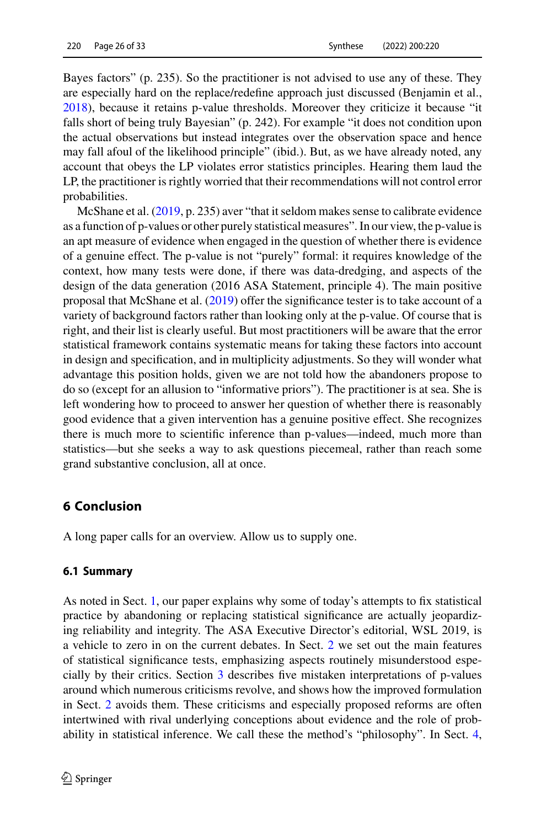Bayes factors" (p. 235). So the practitioner is not advised to use any of these. They are especially hard on the replace/redefine approach just discussed (Benjamin et al., [2018\)](#page-28-9), because it retains p-value thresholds. Moreover they criticize it because "it falls short of being truly Bayesian" (p. 242). For example "it does not condition upon the actual observations but instead integrates over the observation space and hence may fall afoul of the likelihood principle" (ibid.). But, as we have already noted, any account that obeys the LP violates error statistics principles. Hearing them laud the LP, the practitioner is rightly worried that their recommendations will not control error probabilities.

McShane et al. [\(2019,](#page-31-19) p. 235) aver "that it seldom makes sense to calibrate evidence as a function of p-values or other purely statistical measures". In our view, the p-value is an apt measure of evidence when engaged in the question of whether there is evidence of a genuine effect. The p-value is not "purely" formal: it requires knowledge of the context, how many tests were done, if there was data-dredging, and aspects of the design of the data generation (2016 ASA Statement, principle 4). The main positive proposal that McShane et al. [\(2019\)](#page-31-19) offer the significance tester is to take account of a variety of background factors rather than looking only at the p-value. Of course that is right, and their list is clearly useful. But most practitioners will be aware that the error statistical framework contains systematic means for taking these factors into account in design and specification, and in multiplicity adjustments. So they will wonder what advantage this position holds, given we are not told how the abandoners propose to do so (except for an allusion to "informative priors"). The practitioner is at sea. She is left wondering how to proceed to answer her question of whether there is reasonably good evidence that a given intervention has a genuine positive effect. She recognizes there is much more to scientific inference than p-values—indeed, much more than statistics—but she seeks a way to ask questions piecemeal, rather than reach some grand substantive conclusion, all at once.

## <span id="page-25-0"></span>**6 Conclusion**

A long paper calls for an overview. Allow us to supply one.

### **6.1 Summary**

As noted in Sect. [1,](#page-0-0) our paper explains why some of today's attempts to fix statistical practice by abandoning or replacing statistical significance are actually jeopardizing reliability and integrity. The ASA Executive Director's editorial, WSL 2019, is a vehicle to zero in on the current debates. In Sect. [2](#page-3-0) we set out the main features of statistical significance tests, emphasizing aspects routinely misunderstood especially by their critics. Section [3](#page-6-0) describes five mistaken interpretations of p-values around which numerous criticisms revolve, and shows how the improved formulation in Sect. [2](#page-3-0) avoids them. These criticisms and especially proposed reforms are often intertwined with rival underlying conceptions about evidence and the role of probability in statistical inference. We call these the method's "philosophy". In Sect. [4,](#page-12-0)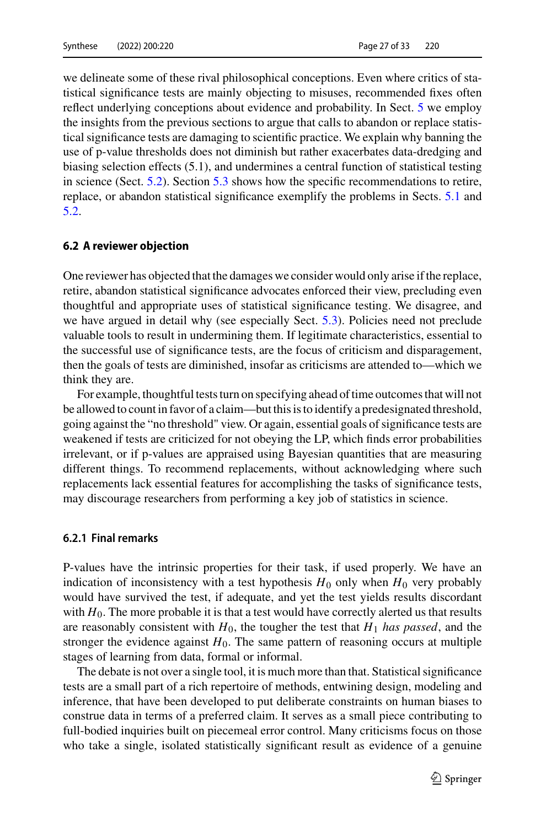we delineate some of these rival philosophical conceptions. Even where critics of statistical significance tests are mainly objecting to misuses, recommended fixes often reflect underlying conceptions about evidence and probability. In Sect. [5](#page-17-0) we employ the insights from the previous sections to argue that calls to abandon or replace statistical significance tests are damaging to scientific practice. We explain why banning the use of p-value thresholds does not diminish but rather exacerbates data-dredging and biasing selection effects (5.1), and undermines a central function of statistical testing in science (Sect. [5.2\)](#page-20-0). Section [5.3](#page-21-0) shows how the specific recommendations to retire, replace, or abandon statistical significance exemplify the problems in Sects. [5.1](#page-17-1) and [5.2.](#page-20-0)

#### **6.2 A reviewer objection**

One reviewer has objected that the damages we consider would only arise if the replace, retire, abandon statistical significance advocates enforced their view, precluding even thoughtful and appropriate uses of statistical significance testing. We disagree, and we have argued in detail why (see especially Sect. [5.3\)](#page-21-0). Policies need not preclude valuable tools to result in undermining them. If legitimate characteristics, essential to the successful use of significance tests, are the focus of criticism and disparagement, then the goals of tests are diminished, insofar as criticisms are attended to—which we think they are.

For example, thoughtful tests turn on specifying ahead of time outcomes that will not be allowed to count in favor of a claim—but this is to identify a predesignated threshold, going against the "no threshold" view. Or again, essential goals of significance tests are weakened if tests are criticized for not obeying the LP, which finds error probabilities irrelevant, or if p-values are appraised using Bayesian quantities that are measuring different things. To recommend replacements, without acknowledging where such replacements lack essential features for accomplishing the tasks of significance tests, may discourage researchers from performing a key job of statistics in science.

#### **6.2.1 Final remarks**

P-values have the intrinsic properties for their task, if used properly. We have an indication of inconsistency with a test hypothesis  $H_0$  only when  $H_0$  very probably would have survived the test, if adequate, and yet the test yields results discordant with  $H_0$ . The more probable it is that a test would have correctly alerted us that results are reasonably consistent with  $H_0$ , the tougher the test that  $H_1$  *has passed*, and the stronger the evidence against  $H_0$ . The same pattern of reasoning occurs at multiple stages of learning from data, formal or informal.

The debate is not over a single tool, it is much more than that. Statistical significance tests are a small part of a rich repertoire of methods, entwining design, modeling and inference, that have been developed to put deliberate constraints on human biases to construe data in terms of a preferred claim. It serves as a small piece contributing to full-bodied inquiries built on piecemeal error control. Many criticisms focus on those who take a single, isolated statistically significant result as evidence of a genuine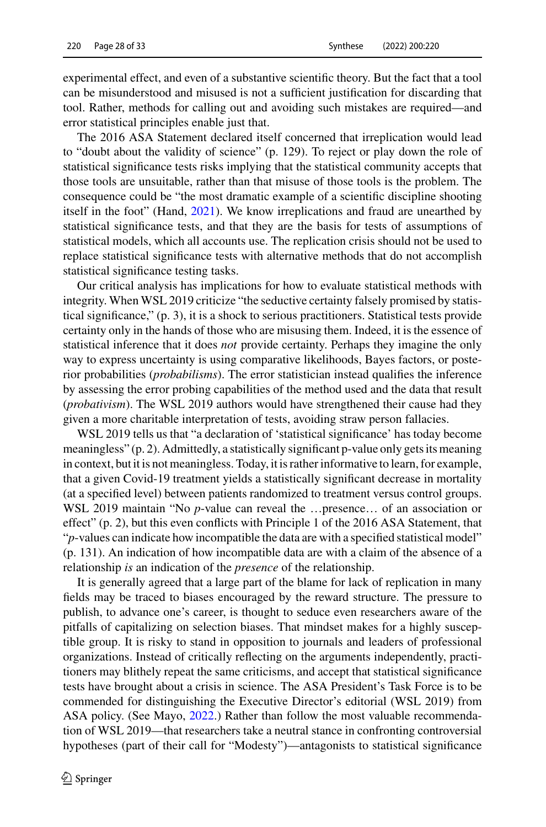experimental effect, and even of a substantive scientific theory. But the fact that a tool can be misunderstood and misused is not a sufficient justification for discarding that tool. Rather, methods for calling out and avoiding such mistakes are required—and error statistical principles enable just that.

The 2016 ASA Statement declared itself concerned that irreplication would lead to "doubt about the validity of science" (p. 129). To reject or play down the role of statistical significance tests risks implying that the statistical community accepts that those tools are unsuitable, rather than that misuse of those tools is the problem. The consequence could be "the most dramatic example of a scientific discipline shooting itself in the foot" (Hand, [2021\)](#page-30-20). We know irreplications and fraud are unearthed by statistical significance tests, and that they are the basis for tests of assumptions of statistical models, which all accounts use. The replication crisis should not be used to replace statistical significance tests with alternative methods that do not accomplish statistical significance testing tasks.

Our critical analysis has implications for how to evaluate statistical methods with integrity. When WSL 2019 criticize "the seductive certainty falsely promised by statistical significance," (p. 3), it is a shock to serious practitioners. Statistical tests provide certainty only in the hands of those who are misusing them. Indeed, it is the essence of statistical inference that it does *not* provide certainty. Perhaps they imagine the only way to express uncertainty is using comparative likelihoods, Bayes factors, or posterior probabilities (*probabilisms*). The error statistician instead qualifies the inference by assessing the error probing capabilities of the method used and the data that result (*probativism*). The WSL 2019 authors would have strengthened their cause had they given a more charitable interpretation of tests, avoiding straw person fallacies.

WSL 2019 tells us that "a declaration of 'statistical significance' has today become meaningless" (p. 2). Admittedly, a statistically significant p-value only gets its meaning in context, but it is not meaningless. Today, it is rather informative to learn, for example, that a given Covid-19 treatment yields a statistically significant decrease in mortality (at a specified level) between patients randomized to treatment versus control groups. WSL 2019 maintain "No *p*-value can reveal the …presence… of an association or effect" (p. 2), but this even conflicts with Principle 1 of the 2016 ASA Statement, that "*p*-values can indicate how incompatible the data are with a specified statistical model" (p. 131). An indication of how incompatible data are with a claim of the absence of a relationship *is* an indication of the *presence* of the relationship.

It is generally agreed that a large part of the blame for lack of replication in many fields may be traced to biases encouraged by the reward structure. The pressure to publish, to advance one's career, is thought to seduce even researchers aware of the pitfalls of capitalizing on selection biases. That mindset makes for a highly susceptible group. It is risky to stand in opposition to journals and leaders of professional organizations. Instead of critically reflecting on the arguments independently, practitioners may blithely repeat the same criticisms, and accept that statistical significance tests have brought about a crisis in science. The ASA President's Task Force is to be commended for distinguishing the Executive Director's editorial (WSL 2019) from ASA policy. (See Mayo, [2022.](#page-31-18)) Rather than follow the most valuable recommendation of WSL 2019—that researchers take a neutral stance in confronting controversial hypotheses (part of their call for "Modesty")—antagonists to statistical significance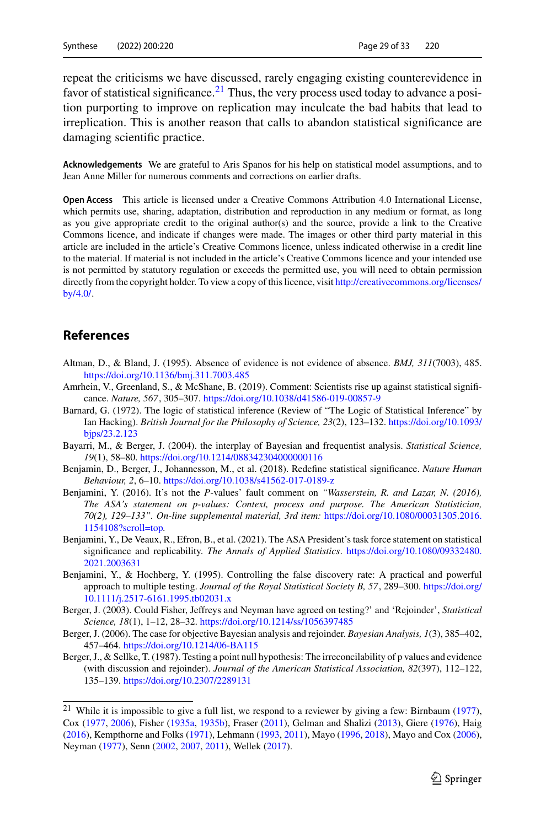repeat the criticisms we have discussed, rarely engaging existing counterevidence in favor of statistical significance.<sup>21</sup> Thus, the very process used today to advance a position purporting to improve on replication may inculcate the bad habits that lead to irreplication. This is another reason that calls to abandon statistical significance are damaging scientific practice.

**Acknowledgements** We are grateful to Aris Spanos for his help on statistical model assumptions, and to Jean Anne Miller for numerous comments and corrections on earlier drafts.

**Open Access** This article is licensed under a Creative Commons Attribution 4.0 International License, which permits use, sharing, adaptation, distribution and reproduction in any medium or format, as long as you give appropriate credit to the original author(s) and the source, provide a link to the Creative Commons licence, and indicate if changes were made. The images or other third party material in this article are included in the article's Creative Commons licence, unless indicated otherwise in a credit line to the material. If material is not included in the article's Creative Commons licence and your intended use is not permitted by statutory regulation or exceeds the permitted use, you will need to obtain permission directly from the copyright holder. To view a copy of this licence, visit [http://creativecommons.org/licenses/](http://creativecommons.org/licenses/by/4.0/) [by/4.0/.](http://creativecommons.org/licenses/by/4.0/)

## **References**

- <span id="page-28-2"></span>Altman, D., & Bland, J. (1995). Absence of evidence is not evidence of absence. *BMJ, 311*(7003), 485. <https://doi.org/10.1136/bmj.311.7003.485>
- <span id="page-28-3"></span>Amrhein, V., Greenland, S., & McShane, B. (2019). Comment: Scientists rise up against statistical significance. *Nature, 567*, 305–307. <https://doi.org/10.1038/d41586-019-00857-9>
- <span id="page-28-6"></span>Barnard, G. (1972). The logic of statistical inference (Review of "The Logic of Statistical Inference" by Ian Hacking). *[British Journal for the Philosophy of Science, 23](https://doi.org/10.1093/bjps/23.2.123)*(2), 123–132. https://doi.org/10.1093/ bjps/23.2.123
- <span id="page-28-5"></span>Bayarri, M., & Berger, J. (2004). the interplay of Bayesian and frequentist analysis. *Statistical Science, 19*(1), 58–80. <https://doi.org/10.1214/088342304000000116>
- <span id="page-28-9"></span>Benjamin, D., Berger, J., Johannesson, M., et al. (2018). Redefine statistical significance. *Nature Human Behaviour, 2*, 6–10. <https://doi.org/10.1038/s41562-017-0189-z>
- <span id="page-28-1"></span>Benjamini, Y. (2016). It's not the *P*-values' fault comment on *"Wasserstein, R. and Lazar, N. (2016), The ASA's statement on p-values: Context, process and purpose. The American Statistician, [70\(2\), 129–133". On-line supplemental material, 3rd item:](https://doi.org/10.1080/00031305.2016.1154108?scroll=top)* https://doi.org/10.1080/00031305.2016. 1154108?scroll=top*.*
- <span id="page-28-0"></span>Benjamini, Y., De Veaux, R., Efron, B., et al. (2021). The ASA President's task force statement on statistical significance and replicability. *The Annals of Applied Statistics*. [https://doi.org/10.1080/09332480.](https://doi.org/10.1080/09332480.2021.2003631) 2021.2003631
- <span id="page-28-4"></span>Benjamini, Y., & Hochberg, Y. (1995). Controlling the false discovery rate: A practical and powerful approach to multiple testing. *[Journal of the Royal Statistical Society B, 57](https://doi.org/10.1111/j.2517-6161.1995.tb02031.x)*, 289–300. https://doi.org/ 10.1111/j.2517-6161.1995.tb02031.x
- <span id="page-28-7"></span>Berger, J. (2003). Could Fisher, Jeffreys and Neyman have agreed on testing?' and 'Rejoinder', *Statistical Science, 18*(1), 1–12, 28–32. <https://doi.org/10.1214/ss/1056397485>
- <span id="page-28-10"></span>Berger, J. (2006). The case for objective Bayesian analysis and rejoinder. *Bayesian Analysis, 1*(3), 385–402, 457–464. <https://doi.org/10.1214/06-BA115>
- <span id="page-28-8"></span>Berger, J., & Sellke, T. (1987). Testing a point null hypothesis: The irreconcilability of p values and evidence (with discussion and rejoinder). *Journal of the American Statistical Association, 82*(397), 112–122, 135–139. <https://doi.org/10.2307/2289131>

<span id="page-28-11"></span><sup>&</sup>lt;sup>21</sup> While it is impossible to give a full list, we respond to a reviewer by giving a few: Birnbaum [\(1977\)](#page-29-20), Cox [\(1977,](#page-29-21) [2006\)](#page-29-2), Fisher [\(1935a,](#page-29-3) [1935b\)](#page-29-22), Fraser [\(2011\)](#page-29-23), Gelman and Shalizi [\(2013\)](#page-29-8), Giere [\(1976\)](#page-29-24), Haig [\(2016\)](#page-30-21), Kempthorne and Folks [\(1971\)](#page-30-18), Lehmann [\(1993,](#page-30-22) [2011\)](#page-30-23), Mayo [\(1996,](#page-31-3) [2018\)](#page-31-2), Mayo and Cox [\(2006\)](#page-31-0), Neyman [\(1977\)](#page-31-20), Senn [\(2002,](#page-32-11) [2007,](#page-32-12) [2011\)](#page-32-13), Wellek [\(2017\)](#page-32-14).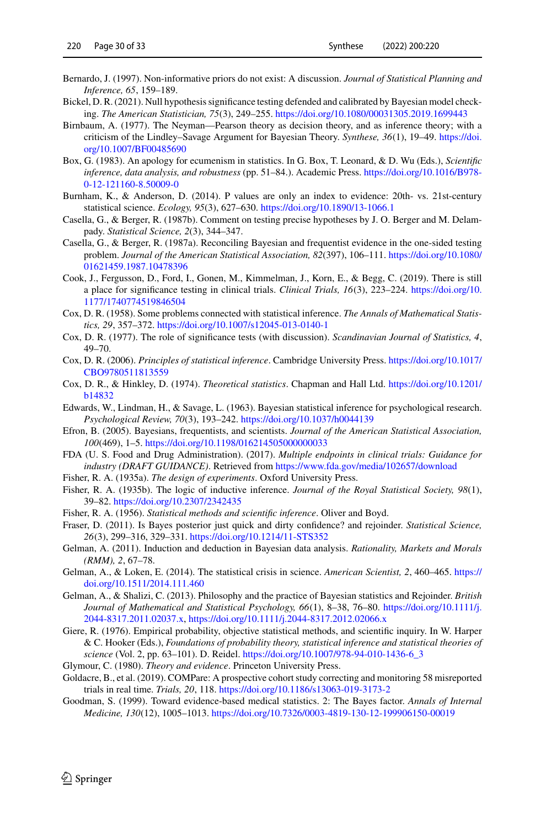- <span id="page-29-18"></span>Bernardo, J. (1997). Non-informative priors do not exist: A discussion. *Journal of Statistical Planning and Inference, 65*, 159–189.
- <span id="page-29-14"></span>Bickel, D. R. (2021). Null hypothesis significance testing defended and calibrated by Bayesian model checking. *The American Statistician, 75*(3), 249–255. <https://doi.org/10.1080/00031305.2019.1699443>
- <span id="page-29-20"></span>Birnbaum, A. (1977). The Neyman—Pearson theory as decision theory, and as inference theory; with a [criticism of the Lindley–Savage Argument for Bayesian Theory.](https://doi.org/10.1007/BF00485690) *Synthese, 36*(1), 19–49. https://doi. org/10.1007/BF00485690
- <span id="page-29-6"></span>Box, G. (1983). An apology for ecumenism in statistics. In G. Box, T. Leonard, & D. Wu (Eds.), *Scientific [inference, data analysis, and robustness](https://doi.org/10.1016/B978-0-12-121160-8.50009-0)* (pp. 51–84.). Academic Press. https://doi.org/10.1016/B978- 0-12-121160-8.50009-0
- <span id="page-29-9"></span>Burnham, K., & Anderson, D. (2014). P values are only an index to evidence: 20th- vs. 21st-century statistical science. *Ecology, 95*(3), 627–630. <https://doi.org/10.1890/13-1066.1>
- <span id="page-29-13"></span>Casella, G., & Berger, R. (1987b). Comment on testing precise hypotheses by J. O. Berger and M. Delampady. *Statistical Science, 2*(3), 344–347.
- <span id="page-29-12"></span>Casella, G., & Berger, R. (1987a). Reconciling Bayesian and frequentist evidence in the one-sided testing problem. *[Journal of the American Statistical Association, 82](https://doi.org/10.1080/01621459.1987.10478396)*(397), 106–111. https://doi.org/10.1080/ 01621459.1987.10478396
- <span id="page-29-16"></span>Cook, J., Fergusson, D., Ford, I., Gonen, M., Kimmelman, J., Korn, E., & Begg, C. (2019). There is still [a place for significance testing in clinical trials.](https://doi.org/10.1177/1740774519846504) *Clinical Trials, 16*(3), 223–224. https://doi.org/10. 1177/1740774519846504
- <span id="page-29-4"></span>Cox, D. R. (1958). Some problems connected with statistical inference. *The Annals of Mathematical Statistics, 29*, 357–372. <https://doi.org/10.1007/s12045-013-0140-1>
- <span id="page-29-21"></span>Cox, D. R. (1977). The role of significance tests (with discussion). *Scandinavian Journal of Statistics, 4*, 49–70.
- <span id="page-29-2"></span>Cox, D. R. (2006). *[Principles of statistical inference](https://doi.org/10.1017/CBO9780511813559)*. Cambridge University Press. https://doi.org/10.1017/ CBO9780511813559
- <span id="page-29-1"></span>Cox, [D. R., & Hinkley, D. \(1974\).](https://doi.org/10.1201/b14832) *Theoretical statistics*. Chapman and Hall Ltd. https://doi.org/10.1201/ b14832
- <span id="page-29-11"></span>Edwards, W., Lindman, H., & Savage, L. (1963). Bayesian statistical inference for psychological research. *Psychological Review, 70*(3), 193–242. <https://doi.org/10.1037/h0044139>
- <span id="page-29-19"></span>Efron, B. (2005). Bayesians, frequentists, and scientists. *Journal of the American Statistical Association, 100*(469), 1–5. <https://doi.org/10.1198/016214505000000033>
- FDA (U. S. Food and Drug Administration). (2017). *Multiple endpoints in clinical trials: Guidance for industry (DRAFT GUIDANCE)*. Retrieved from <https://www.fda.gov/media/102657/download>
- <span id="page-29-3"></span>Fisher, R. A. (1935a). *The design of experiments*. Oxford University Press.
- <span id="page-29-22"></span>Fisher, R. A. (1935b). The logic of inductive inference. *Journal of the Royal Statistical Society, 98*(1), 39–82. <https://doi.org/10.2307/2342435>
- <span id="page-29-0"></span>Fisher, R. A. (1956). *Statistical methods and scientific inference*. Oliver and Boyd.
- <span id="page-29-23"></span>Fraser, D. (2011). Is Bayes posterior just quick and dirty confidence? and rejoinder. *Statistical Science, 26*(3), 299–316, 329–331. <https://doi.org/10.1214/11-STS352>
- <span id="page-29-7"></span>Gelman, A. (2011). Induction and deduction in Bayesian data analysis. *Rationality, Markets and Morals (RMM), 2*, 67–78.
- <span id="page-29-5"></span>Gel[man, A., & Loken, E. \(2014\). The statistical crisis in science.](https://doi.org/10.1511/2014.111.460) *American Scientist, 2*, 460–465. https:// doi.org/10.1511/2014.111.460
- <span id="page-29-8"></span>Gelman, A., & Shalizi, C. (2013). Philosophy and the practice of Bayesian statistics and Rejoinder. *British [Journal of Mathematical and Statistical Psychology, 66](https://doi.org/10.1111/j.2044-8317.2011.02037.x)*(1), 8–38, 76–80. https://doi.org/10.1111/j. 2044-8317.2011.02037.x, <https://doi.org/10.1111/j.2044-8317.2012.02066.x>
- <span id="page-29-24"></span>Giere, R. (1976). Empirical probability, objective statistical methods, and scientific inquiry. In W. Harper & C. Hooker (Eds.), *Foundations of probability theory, statistical inference and statistical theories of science* (Vol. 2, pp. 63–101). D. Reidel. [https://doi.org/10.1007/978-94-010-1436-6\\_3](https://doi.org/10.1007/978-94-010-1436-6_3)
- <span id="page-29-10"></span>Glymour, C. (1980). *Theory and evidence*. Princeton University Press.
- <span id="page-29-15"></span>Goldacre, B., et al. (2019). COMPare: A prospective cohort study correcting and monitoring 58 misreported trials in real time. *Trials, 20*, 118. <https://doi.org/10.1186/s13063-019-3173-2>
- <span id="page-29-17"></span>Goodman, S. (1999). Toward evidence-based medical statistics. 2: The Bayes factor. *Annals of Internal Medicine, 130*(12), 1005–1013. <https://doi.org/10.7326/0003-4819-130-12-199906150-00019>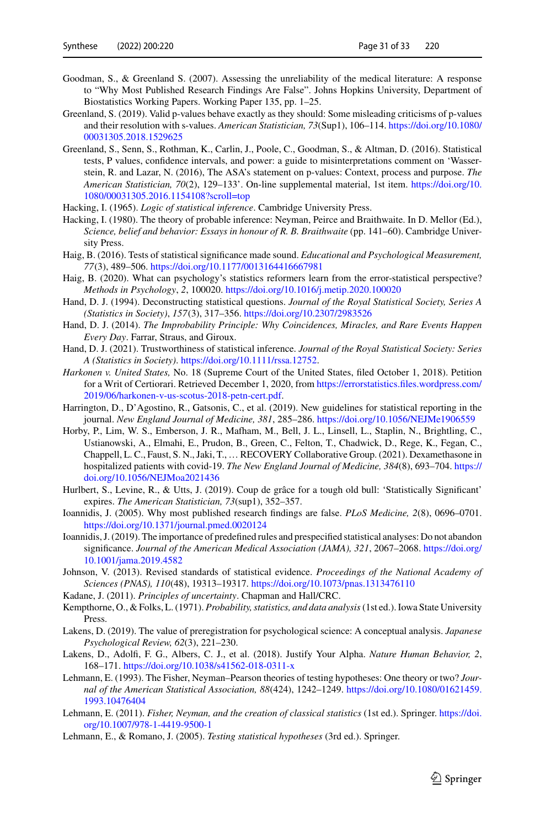- <span id="page-30-19"></span>Goodman, S., & Greenland S. (2007). Assessing the unreliability of the medical literature: A response to "Why Most Published Research Findings Are False". Johns Hopkins University, Department of Biostatistics Working Papers. Working Paper 135, pp. 1–25.
- <span id="page-30-8"></span>Greenland, S. (2019). Valid p-values behave exactly as they should: Some misleading criticisms of p-values [and their resolution with s-values.](https://doi.org/10.1080/00031305.2018.1529625) *American Statistician, 73*(Sup1), 106–114. https://doi.org/10.1080/ 00031305.2018.1529625
- <span id="page-30-7"></span>Greenland, S., Senn, S., Rothman, K., Carlin, J., Poole, C., Goodman, S., & Altman, D. (2016). Statistical tests, P values, confidence intervals, and power: a guide to misinterpretations comment on 'Wasserstein, R. and Lazar, N. (2016), The ASA's statement on p-values: Context, process and purpose. *The American Statistician, 70*[\(2\), 129–133'. On-line supplemental material, 1st item.](https://doi.org/10.1080/00031305.2016.1154108?scroll=top) https://doi.org/10. 1080/00031305.2016.1154108?scroll=top
- <span id="page-30-3"></span>Hacking, I. (1965). *Logic of statistical inference*. Cambridge University Press.
- <span id="page-30-4"></span>Hacking, I. (1980). The theory of probable inference: Neyman, Peirce and Braithwaite. In D. Mellor (Ed.), *Science, belief and behavior: Essays in honour of R. B. Braithwaite* (pp. 141–60). Cambridge University Press.
- <span id="page-30-21"></span>Haig, B. (2016). Tests of statistical significance made sound. *Educational and Psychological Measurement, 77*(3), 489–506. <https://doi.org/10.1177/0013164416667981>
- <span id="page-30-9"></span>Haig, B. (2020). What can psychology's statistics reformers learn from the error-statistical perspective? *Methods in Psychology*, *2*, 100020. <https://doi.org/10.1016/j.metip.2020.100020>
- <span id="page-30-17"></span>Hand, D. J. (1994). Deconstructing statistical questions. *Journal of the Royal Statistical Society, Series A (Statistics in Society)*, *157*(3), 317–356. <https://doi.org/10.2307/2983526>
- <span id="page-30-11"></span>Hand, D. J. (2014). *The Improbability Principle: Why Coincidences, Miracles, and Rare Events Happen Every Day*. Farrar, Straus, and Giroux.
- <span id="page-30-20"></span>Hand, D. J. (2021). Trustworthiness of statistical inference. *Journal of the Royal Statistical Society: Series A (Statistics in Society)*. [https://doi.org/10.1111/rssa.12752.](https://doi.org/10.1111/rssa.12752)
- <span id="page-30-12"></span>*Harkonen v. United States,* No. 18 (Supreme Court of the United States, filed October 1, 2018). Petition [for a Writ of Certiorari. Retrieved December 1, 2020, from](https://errorstatistics.files.wordpress.com/2019/06/harkonen-v-us-scotus-2018-petn-cert.pdf) https://errorstatistics.files.wordpress.com/ 2019/06/harkonen-v-us-scotus-2018-petn-cert.pdf.
- <span id="page-30-15"></span>Harrington, D., D'Agostino, R., Gatsonis, C., et al. (2019). New guidelines for statistical reporting in the journal. *New England Journal of Medicine, 381*, 285–286. <https://doi.org/10.1056/NEJMe1906559>
- <span id="page-30-2"></span>Horby, P., Lim, W. S., Emberson, J. R., Mafham, M., Bell, J. L., Linsell, L., Staplin, N., Brightling, C., Ustianowski, A., Elmahi, E., Prudon, B., Green, C., Felton, T., Chadwick, D., Rege, K., Fegan, C., Chappell, L. C., Faust, S. N., Jaki, T., … RECOVERY Collaborative Group. (2021). Dexamethasone in hospitalized patients with covid-19. *[The New England Journal of Medicine, 384](https://doi.org/10.1056/NEJMoa2021436)*(8), 693–704. https:// doi.org/10.1056/NEJMoa2021436
- <span id="page-30-14"></span>Hurlbert, S., Levine, R., & Utts, J. (2019). Coup de grâce for a tough old bull: 'Statistically Significant' expires. *The American Statistician, 73*(sup1), 352–357.
- <span id="page-30-0"></span>Ioannidis, J. (2005). Why most published research findings are false. *PLoS Medicine, 2*(8), 0696–0701. <https://doi.org/10.1371/journal.pmed.0020124>
- <span id="page-30-16"></span>Ioannidis, J. (2019). The importance of predefined rules and prespecified statistical analyses: Do not abandon significance. *[Journal of the American Medical Association \(JAMA\), 321](https://doi.org/10.1001/jama.2019.4582)*, 2067–2068. https://doi.org/ 10.1001/jama.2019.4582
- <span id="page-30-10"></span>Johnson, V. (2013). Revised standards of statistical evidence. *Proceedings of the National Academy of Sciences (PNAS), 110*(48), 19313–19317. <https://doi.org/10.1073/pnas.1313476110>
- <span id="page-30-5"></span>Kadane, J. (2011). *Principles of uncertainty*. Chapman and Hall/CRC.
- <span id="page-30-18"></span>Kempthorne, O., & Folks, L. (1971). *Probability, statistics, and data analysis*(1st ed.). Iowa State University Press.
- <span id="page-30-13"></span>Lakens, D. (2019). The value of preregistration for psychological science: A conceptual analysis. *Japanese Psychological Review, 62*(3), 221–230.
- <span id="page-30-6"></span>Lakens, D., Adolfi, F. G., Albers, C. J., et al. (2018). Justify Your Alpha. *Nature Human Behavior, 2*, 168–171. <https://doi.org/10.1038/s41562-018-0311-x>
- <span id="page-30-22"></span>Lehmann, E. (1993). The Fisher, Neyman–Pearson theories of testing hypotheses: One theory or two? *Jour[nal of the American Statistical Association, 88](https://doi.org/10.1080/01621459.1993.10476404)*(424), 1242–1249. https://doi.org/10.1080/01621459. 1993.10476404
- <span id="page-30-23"></span>Lehmann, E. (2011). *[Fisher, Neyman, and the creation of classical statistics](https://doi.org/10.1007/978-1-4419-9500-1)* (1st ed.). Springer. https://doi. org/10.1007/978-1-4419-9500-1
- <span id="page-30-1"></span>Lehmann, E., & Romano, J. (2005). *Testing statistical hypotheses* (3rd ed.). Springer.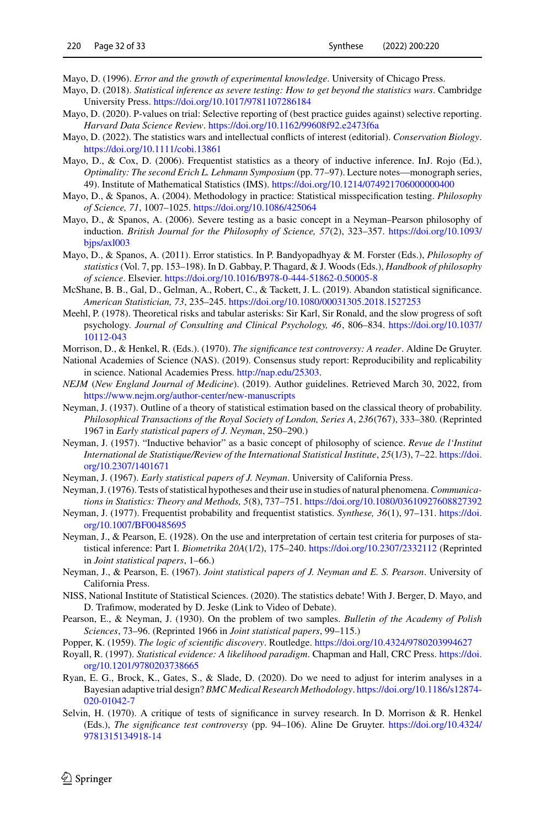<span id="page-31-3"></span>Mayo, D. (1996). *Error and the growth of experimental knowledge*. University of Chicago Press.

- <span id="page-31-2"></span>Mayo, D. (2018). *Statistical inference as severe testing: How to get beyond the statistics wars*. Cambridge University Press. <https://doi.org/10.1017/9781107286184>
- <span id="page-31-16"></span>Mayo, D. (2020). P-values on trial: Selective reporting of (best practice guides against) selective reporting. *Harvard Data Science Review*. <https://doi.org/10.1162/99608f92.e2473f6a>
- <span id="page-31-18"></span>Mayo, D. (2022). The statistics wars and intellectual conflicts of interest (editorial). *Conservation Biology*. <https://doi.org/10.1111/cobi.13861>
- <span id="page-31-0"></span>Mayo, D., & Cox, D. (2006). Frequentist statistics as a theory of inductive inference. InJ. Rojo (Ed.), *Optimality: The second Erich L. Lehmann Symposium* (pp. 77–97). Lecture notes—monograph series, 49). Institute of Mathematical Statistics (IMS). <https://doi.org/10.1214/074921706000000400>
- <span id="page-31-12"></span>Mayo, D., & Spanos, A. (2004). Methodology in practice: Statistical misspecification testing. *Philosophy of Science, 71*, 1007–1025. <https://doi.org/10.1086/425064>
- <span id="page-31-8"></span>Mayo, D., & Spanos, A. (2006). Severe testing as a basic concept in a Neyman–Pearson philosophy of induction. *[British Journal for the Philosophy of Science, 57](https://doi.org/10.1093/bjps/axl003)*(2), 323–357. https://doi.org/10.1093/ bjps/axl003
- <span id="page-31-4"></span>Mayo, D., & Spanos, A. (2011). Error statistics. In P. Bandyopadhyay & M. Forster (Eds.), *Philosophy of statistics* (Vol. 7, pp. 153–198). In D. Gabbay, P. Thagard, & J. Woods (Eds.), *Handbook of philosophy of science*. Elsevier. <https://doi.org/10.1016/B978-0-444-51862-0.50005-8>
- <span id="page-31-19"></span>McShane, B. B., Gal, D., Gelman, A., Robert, C., & Tackett, J. L. (2019). Abandon statistical significance. *American Statistician, 73*, 235–245. <https://doi.org/10.1080/00031305.2018.1527253>
- <span id="page-31-6"></span>Meehl, P. (1978). Theoretical risks and tabular asterisks: Sir Karl, Sir Ronald, and the slow progress of soft psychology. *[Journal of Consulting and Clinical Psychology, 46](https://doi.org/10.1037/10112-043)*, 806–834. https://doi.org/10.1037/ 10112-043
- Morrison, D., & Henkel, R. (Eds.). (1970). *The significance test controversy: A reader*. Aldine De Gruyter.
- National Academies of Science (NAS). (2019). Consensus study report: Reproducibility and replicability in science. National Academies Press. [http://nap.edu/25303.](http://nap.edu/25303)
- *NEJM* (*New England Journal of Medicine*). (2019). Author guidelines. Retrieved March 30, 2022, from <https://www.nejm.org/author-center/new-manuscripts>
- <span id="page-31-9"></span>Neyman, J. (1937). Outline of a theory of statistical estimation based on the classical theory of probability. *Philosophical Transactions of the Royal Society of London, Series A*, *236*(767), 333–380. (Reprinted 1967 in *Early statistical papers of J. Neyman*, 250–290.)
- <span id="page-31-1"></span>Neyman, J. (1957). "Inductive behavior" as a basic concept of philosophy of science. *Revue de l'Institut [International de Statistique/Review of the International Statistical Institute](https://doi.org/10.2307/1401671)*, *25*(1/3), 7–22. https://doi. org/10.2307/1401671
- Neyman, J. (1967). *Early statistical papers of J. Neyman*. University of California Press.
- <span id="page-31-10"></span>Neyman, J. (1976). Tests of statistical hypotheses and their use in studies of natural phenomena.*Communications in Statistics: Theory and Methods, 5*(8), 737–751. <https://doi.org/10.1080/03610927608827392>
- <span id="page-31-20"></span>Ney[man, J. \(1977\). Frequentist probability and frequentist statistics.](https://doi.org/10.1007/BF00485695) *Synthese, 36*(1), 97–131. https://doi. org/10.1007/BF00485695
- <span id="page-31-7"></span>Neyman, J., & Pearson, E. (1928). On the use and interpretation of certain test criteria for purposes of statistical inference: Part I. *Biometrika 20A*(1/2), 175–240. <https://doi.org/10.2307/2332112> (Reprinted in *Joint statistical papers*, 1–66.)
- Neyman, J., & Pearson, E. (1967). *Joint statistical papers of J. Neyman and E. S. Pearson*. University of California Press.
- <span id="page-31-13"></span>NISS, National Institute of Statistical Sciences. (2020). The statistics debate! With J. Berger, D. Mayo, and D. Trafimow, moderated by D. Jeske (Link to Video of Debate).
- <span id="page-31-15"></span>Pearson, E., & Neyman, J. (1930). On the problem of two samples. *Bulletin of the Academy of Polish Sciences*, 73–96. (Reprinted 1966 in *Joint statistical papers*, 99–115.)
- <span id="page-31-5"></span>Popper, K. (1959). *The logic of scientific discovery*. Routledge. <https://doi.org/10.4324/9780203994627>
- <span id="page-31-14"></span>Royall, R. (1997). *[Statistical evidence: A likelihood paradigm](https://doi.org/10.1201/9780203738665)*. Chapman and Hall, CRC Press. https://doi. org/10.1201/9780203738665
- <span id="page-31-17"></span>Ryan, E. G., Brock, K., Gates, S., & Slade, D. (2020). Do we need to adjust for interim analyses in a Bayesian adaptive trial design? *[BMC Medical Research Methodology](https://doi.org/10.1186/s12874-020-01042-7)*. https://doi.org/10.1186/s12874- 020-01042-7
- <span id="page-31-11"></span>Selvin, H. (1970). A critique of tests of significance in survey research. In D. Morrison & R. Henkel (Eds.), *[The significance test controversy](https://doi.org/10.4324/9781315134918-14)* (pp. 94–106). Aline De Gruyter. https://doi.org/10.4324/ 9781315134918-14